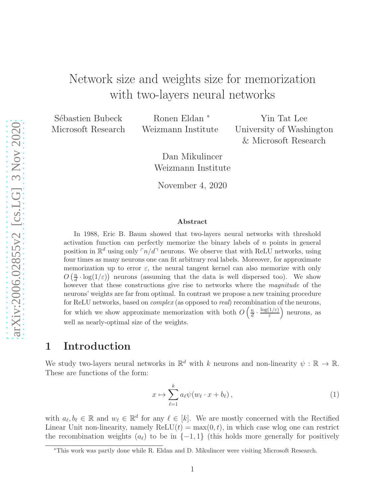# Network size and weights size for memorization with two-layers neural networks

Sébastien Bubeck Microsoft Research

Ronen Eldan <sup>∗</sup> Weizmann Institute

Yin Tat Lee University of Washington & Microsoft Research

Dan Mikulincer Weizmann Institute

November 4, 2020

#### Abstract

In 1988, Eric B. Baum showed that two-layers neural networks with threshold activation function can perfectly memorize the binary labels of  $n$  points in general position in  $\mathbb{R}^d$  using only  $\lceil n/d \rceil$  neurons. We observe that with ReLU networks, using four times as many neurons one can fit arbitrary real labels. Moreover, for approximate memorization up to error  $\varepsilon$ , the neural tangent kernel can also memorize with only  $O\left(\frac{n}{d}\right)$  $\frac{n}{d} \cdot \log(1/\varepsilon)$  neurons (assuming that the data is well dispersed too). We show however that these constructions give rise to networks where the magnitude of the neurons' weights are far from optimal. In contrast we propose a new training procedure for ReLU networks, based on *complex* (as opposed to *real*) recombination of the neurons, for which we show approximate memorization with both  $O\left(\frac{n}{d}\right)$  $\frac{n}{d} \cdot \frac{\log(1/\varepsilon)}{\varepsilon}$ ε neurons, as well as nearly-optimal size of the weights.

## 1 Introduction

We study two-layers neural networks in  $\mathbb{R}^d$  with k neurons and non-linearity  $\psi : \mathbb{R} \to \mathbb{R}$ . These are functions of the form:

<span id="page-0-0"></span>
$$
x \mapsto \sum_{\ell=1}^{k} a_{\ell} \psi(w_{\ell} \cdot x + b_{\ell}), \qquad (1)
$$

with  $a_{\ell}, b_{\ell} \in \mathbb{R}$  and  $w_{\ell} \in \mathbb{R}^d$  for any  $\ell \in [k]$ . We are mostly concerned with the Rectified Linear Unit non-linearity, namely  $ReLU(t) = max(0, t)$ , in which case wlog one can restrict the recombination weights  $(a_{\ell})$  to be in  $\{-1,1\}$  (this holds more generally for positively

<sup>∗</sup>This work was partly done while R. Eldan and D. Mikulincer were visiting Microsoft Research.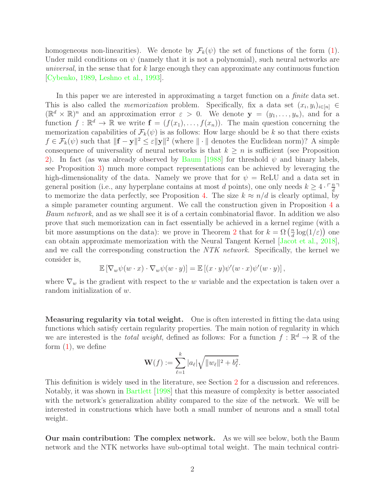homogeneous non-linearities). We denote by  $\mathcal{F}_k(\psi)$  the set of functions of the form [\(1\)](#page-0-0). Under mild conditions on  $\psi$  (namely that it is not a polynomial), such neural networks are universal, in the sense that for  $k$  large enough they can approximate any continuous function [\[Cybenko](#page-23-0), [1989,](#page-23-0) [Leshno et al.,](#page-24-0) [1993](#page-24-0)].

In this paper we are interested in approximating a target function on a *finite* data set. This is also called the *memorization* problem. Specifically, fix a data set  $(x_i, y_i)_{i \in [n]} \in$  $(\mathbb{R}^d \times \mathbb{R})^n$  and an approximation error  $\varepsilon > 0$ . We denote  $\mathbf{y} = (y_1, \ldots, y_n)$ , and for a function  $f : \mathbb{R}^d \to \mathbb{R}$  we write  $f = (f(x_1), \ldots, f(x_n))$ . The main question concerning the memorization capabilities of  $\mathcal{F}_k(\psi)$  is as follows: How large should be k so that there exists  $f \in \mathcal{F}_k(\psi)$  such that  $\|\mathbf{f} - \mathbf{y}\|^2 \leq \varepsilon \|\mathbf{y}\|^2$  (where  $\|\cdot\|$  denotes the Euclidean norm)? A simple consequence of universality of neural networks is that  $k \geq n$  is sufficient (see Proposition [2\)](#page-5-0). In fact (as was already observed by [Baum](#page-23-1) [\[1988\]](#page-23-1) for threshold  $\psi$  and binary labels, see Proposition [3\)](#page-6-0) much more compact representations can be achieved by leveraging the high-dimensionality of the data. Namely we prove that for  $\psi = \text{ReLU}$  and a data set in general position (i.e., any hyperplane contains at most d points), one only needs  $k \geq 4 \cdot \frac{m}{d}$  $\frac{n}{d}$ to memorize the data perfectly, see Proposition [4.](#page-6-1) The size  $k \approx n/d$  is clearly optimal, by a simple parameter counting argument. We call the construction given in Proposition [4](#page-6-1) a Baum network, and as we shall see it is of a certain combinatorial flavor. In addition we also prove that such memorization can in fact essentially be achieved in a kernel regime (with a bit more assumptions on the data): we prove in Theorem [2](#page-8-0) that for  $k = \Omega\left(\frac{n}{d}\right)$  $\frac{n}{d} \log(1/\varepsilon)$ ) one can obtain approximate memorization with the Neural Tangent Kernel [\[Jacot et al.,](#page-23-2) [2018\]](#page-23-2), and we call the corresponding construction the NTK network. Specifically, the kernel we consider is,

$$
\mathbb{E}\left[\nabla_w \psi(w \cdot x) \cdot \nabla_w \psi(w \cdot y)\right] = \mathbb{E}\left[(x \cdot y)\psi'(w \cdot x)\psi'(w \cdot y)\right],
$$

where  $\nabla_w$  is the gradient with respect to the w variable and the expectation is taken over a random initialization of w.

Measuring regularity via total weight. One is often interested in fitting the data using functions which satisfy certain regularity properties. The main notion of regularity in which we are interested is the *total weight*, defined as follows: For a function  $f : \mathbb{R}^d \to \mathbb{R}$  of the form  $(1)$ , we define

$$
\mathbf{W}(f) := \sum_{\ell=1}^k |a_\ell| \sqrt{||w_\ell||^2 + b_\ell^2}.
$$

This definition is widely used in the literature, see Section [2](#page-4-0) for a discussion and references. Notably, it was shown in [Bartlett](#page-23-3) [\[1998](#page-23-3)] that this measure of complexity is better associated with the network's generalization ability compared to the size of the network. We will be interested in constructions which have both a small number of neurons and a small total weight.

Our main contribution: The complex network. As we will see below, both the Baum network and the NTK networks have sub-optimal total weight. The main technical contri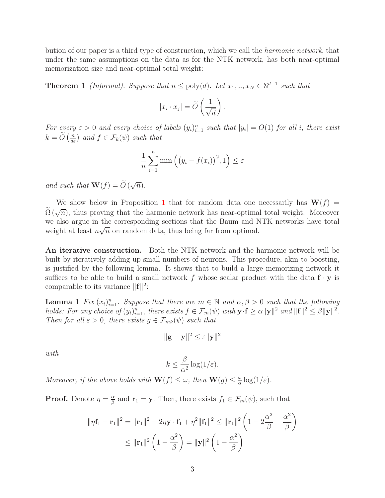bution of our paper is a third type of construction, which we call the harmonic network, that under the same assumptions on the data as for the NTK network, has both near-optimal memorization size and near-optimal total weight:

**Theorem 1** (Informal). Suppose that  $n \leq poly(d)$ . Let  $x_1, ..., x_N \in \mathbb{S}^{d-1}$  such that

$$
|x_i \cdot x_j| = \widetilde{O}\left(\frac{1}{\sqrt{d}}\right).
$$

For every  $\varepsilon > 0$  and every choice of labels  $(y_i)_{i=1}^n$  such that  $|y_i| = O(1)$  for all i, there exist  $k = \widetilde{O}\left(\frac{n}{d\varepsilon}\right)$  and  $f \in \mathcal{F}_k(\psi)$  such that

$$
\frac{1}{n}\sum_{i=1}^{n}\min\left(\left(y_{i}-f(x_{i})\right)^{2},1\right)\leq\varepsilon
$$

and such that  $\mathbf{W}(f) = \widetilde{O}(\sqrt{n}).$ 

We show below in Proposition [1](#page-3-0) that for random data one necessarily has  $W(f)$  =  $\tilde{\Omega}(\sqrt{n})$ , thus proving that the harmonic network has near-optimal total weight. Moreover we also argue in the corresponding sections that the Baum and NTK networks have total weight at least  $n\sqrt{n}$  on random data, thus being far from optimal.

An iterative construction. Both the NTK network and the harmonic network will be built by iteratively adding up small numbers of neurons. This procedure, akin to boosting, is justified by the following lemma. It shows that to build a large memorizing network it suffices to be able to build a small network f whose scalar product with the data  $f \cdot y$  is comparable to its variance  $\|\mathbf{f}\|^2$ :

**Lemma 1** Fix  $(x_i)_{i=1}^n$ . Suppose that there are  $m \in \mathbb{N}$  and  $\alpha, \beta > 0$  such that the following holds: For any choice of  $(y_i)_{i=1}^n$ , there exists  $f \in \mathcal{F}_m(\psi)$  with  $\mathbf{y} \cdot \mathbf{f} \ge \alpha ||\mathbf{y}||^2$  and  $||\mathbf{f}||^2 \le \beta ||\mathbf{y}||^2$ . Then for all  $\varepsilon > 0$ , there exists  $g \in \mathcal{F}_{mk}(\psi)$  such that

<span id="page-2-0"></span>
$$
\|\mathbf{g} - \mathbf{y}\|^2 \leq \varepsilon \|\mathbf{y}\|^2
$$

with

$$
k \le \frac{\beta}{\alpha^2} \log(1/\varepsilon).
$$

Moreover, if the above holds with  $\mathbf{W}(f) \leq \omega$ , then  $\mathbf{W}(g) \leq \frac{\omega}{\alpha}$  $\frac{\omega}{\alpha} \log(1/\varepsilon).$ 

**Proof.** Denote  $\eta = \frac{\alpha}{\beta}$  $\frac{\alpha}{\beta}$  and  $\mathbf{r}_1 = \mathbf{y}$ . Then, there exists  $f_1 \in \mathcal{F}_m(\psi)$ , such that

$$
\|\eta \mathbf{f}_1 - \mathbf{r}_1\|^2 = \|\mathbf{r}_1\|^2 - 2\eta \mathbf{y} \cdot \mathbf{f}_1 + \eta^2 \|\mathbf{f}_1\|^2 \le \|\mathbf{r}_1\|^2 \left(1 - 2\frac{\alpha^2}{\beta} + \frac{\alpha^2}{\beta}\right)
$$
  

$$
\le \|\mathbf{r}_1\|^2 \left(1 - \frac{\alpha^2}{\beta}\right) = \|\mathbf{y}\|^2 \left(1 - \frac{\alpha^2}{\beta}\right)
$$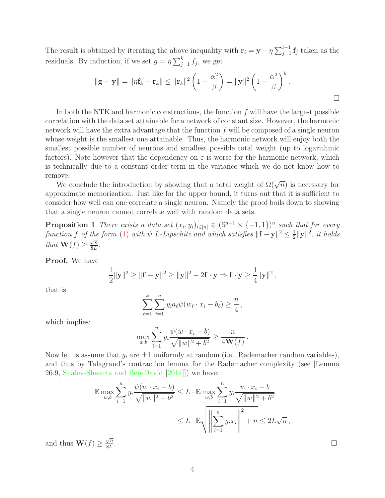The result is obtained by iterating the above inequality with  $\mathbf{r}_i = \mathbf{y} - \eta \sum_{j=1}^{i-1} \mathbf{f}_j$  taken as the residuals. By induction, if we set  $g = \eta \sum_{j=1}^{k} f_j$ , we get

$$
\|\mathbf{g} - \mathbf{y}\| = \|\eta \mathbf{f}_k - \mathbf{r}_k\| \le \|\mathbf{r}_k\|^2 \left(1 - \frac{\alpha^2}{\beta}\right) = \|\mathbf{y}\|^2 \left(1 - \frac{\alpha^2}{\beta}\right)^k.
$$

In both the NTK and harmonic constructions, the function  $f$  will have the largest possible correlation with the data set attainable for a network of constant size. However, the harmonic network will have the extra advantage that the function  $f$  will be composed of a single neuron whose weight is the smallest one attainable. Thus, the harmonic network will enjoy both the smallest possible number of neurons and smallest possible total weight (up to logarithmic factors). Note however that the dependency on  $\varepsilon$  is worse for the harmonic network, which is technically due to a constant order term in the variance which we do not know how to remove.

We conclude the introduction by showing that a total weight of  $\Omega(\sqrt{n})$  is necessary for approximate memorization. Just like for the upper bound, it turns out that it is sufficient to consider how well can one correlate a single neuron. Namely the proof boils down to showing that a single neuron cannot correlate well with random data sets.

<span id="page-3-0"></span>**Proposition 1** There exists a data set  $(x_i, y_i)_{i \in [n]} \in (\mathbb{S}^{d-1} \times \{-1, 1\})^n$  such that for every function f of the form [\(1\)](#page-0-0) with  $\psi$  L-Lipschitz and which satisfies  $\Vert \mathbf{f} - \mathbf{y} \Vert^2 \leq \frac{1}{2}$  $\frac{1}{2}$ ||**y**||<sup>2</sup>, it holds that  $\mathbf{W}(f) \geq \frac{\sqrt{n}}{8L}$  $\frac{\sqrt{n}}{8L}$ .

Proof. We have

$$
\frac{1}{2}||\mathbf{y}||^2 \ge ||\mathbf{f} - \mathbf{y}||^2 \ge ||\mathbf{y}||^2 - 2\mathbf{f} \cdot \mathbf{y} \Rightarrow \mathbf{f} \cdot \mathbf{y} \ge \frac{1}{4}||\mathbf{y}||^2,
$$

that is

$$
\sum_{\ell=1}^k \sum_{i=1}^n y_i a_\ell \psi(w_\ell \cdot x_i - b_\ell) \ge \frac{n}{4},
$$

which implies:

$$
\max_{w,b} \sum_{i=1}^n y_i \frac{\psi(w \cdot x_i - b)}{\sqrt{\|w\|^2 + b^2}} \ge \frac{n}{4\mathbf{W}(f)}.
$$

Now let us assume that  $y_i$  are  $\pm 1$  uniformly at random (i.e., Rademacher random variables), and thus by Talagrand's contraction lemma for the Rademacher complexity (see [Lemma 26.9, [Shalev-Shwartz and Ben-David](#page-24-1) [\[2014\]](#page-24-1)]) we have:

$$
\mathbb{E} \max_{w,b} \sum_{i=1}^{n} y_i \frac{\psi(w \cdot x_i - b)}{\sqrt{\|w\|^2 + b^2}} \le L \cdot \mathbb{E} \max_{w,b} \sum_{i=1}^{n} y_i \frac{w \cdot x_i - b}{\sqrt{\|w\|^2 + b^2}}
$$
  

$$
\le L \cdot \mathbb{E} \sqrt{\left\| \sum_{i=1}^{n} y_i x_i \right\|^2 + n} \le 2L\sqrt{n},
$$

and thus  $\mathbf{W}(f) \geq \frac{\sqrt{n}}{8L}$ 8L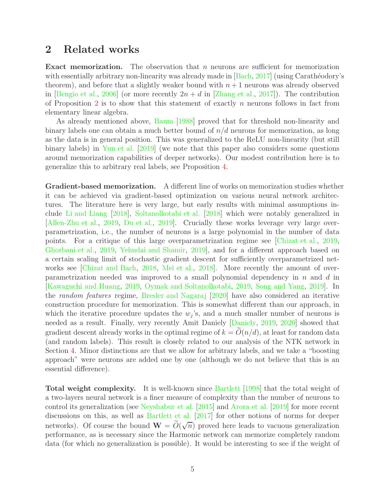### <span id="page-4-0"></span>2 Related works

**Exact memorization.** The observation that  $n$  neurons are sufficient for memorization with essentially arbitrary non-linearity was already made in  $\lceil \text{Bach}, 2017 \rceil$  (using Carathéodory's theorem), and before that a slightly weaker bound with  $n + 1$  neurons was already observed in [\[Bengio et al.](#page-23-4), [2006](#page-23-4)] (or more recently  $2n + d$  in [\[Zhang et al.](#page-24-2), [2017](#page-24-2)]). The contribution of Proposition [2](#page-5-0) is to show that this statement of exactly n neurons follows in fact from elementary linear algebra.

As already mentioned above, [Baum](#page-23-1) [\[1988](#page-23-1)] proved that for threshold non-linearity and binary labels one can obtain a much better bound of  $n/d$  neurons for memorization, as long as the data is in general position. This was generalized to the ReLU non-linearity (but still binary labels) in [Yun et al.](#page-24-3) [\[2019](#page-24-3)] (we note that this paper also considers some questions around memorization capabilities of deeper networks). Our modest contribution here is to generalize this to arbitrary real labels, see Proposition [4.](#page-6-1)

Gradient-based memorization. A different line of works on memorization studies whether it can be achieved via gradient-based optimization on various neural network architectures. The literature here is very large, but early results with minimal assumptions include [Li and Liang](#page-24-4) [\[2018\]](#page-24-4), [Soltanolkotabi et al.](#page-24-5) [\[2018\]](#page-24-5) which were notably generalized in [\[Allen-Zhu et al.,](#page-22-1) [2019](#page-22-1), [Du et al.](#page-23-5), [2019\]](#page-23-5). Crucially these works leverage very large overparametrization, i.e., the number of neurons is a large polynomial in the number of data points. For a critique of this large overparametrization regime see [\[Chizat et al.](#page-23-6), [2019,](#page-23-6) [Ghorbani et al.](#page-23-7), [2019](#page-23-7), [Yehudai and Shamir](#page-24-6), [2019](#page-24-6)], and for a different approach based on a certain scaling limit of stochastic gradient descent for sufficiently overparametrized networks see [\[Chizat and Bach,](#page-23-8) [2018](#page-23-8), [Mei et al.,](#page-24-7) [2018](#page-24-7)]. More recently the amount of overparametrization needed was improved to a small polynomial dependency in  $n$  and  $d$  in [\[Kawaguchi and Huang](#page-24-8), [2019](#page-24-8), Oymak and Soltanolkotabi, 2019, Song and Yang, 2019]. In the random features regime, [Bresler and Nagaraj](#page-23-9) [\[2020](#page-23-9)] have also considered an iterative construction procedure for memorization. This is somewhat different than our approach, in which the iterative procedure updates the  $w_j$ 's, and a much smaller number of neurons is needed as a result. Finally, very recently Amit Daniely [\[Daniely](#page-23-10), [2019,](#page-23-10) [2020\]](#page-23-11) showed that gradient descent already works in the optimal regime of  $k = O(n/d)$ , at least for random data (and random labels). This result is closely related to our analysis of the NTK network in Section [4.](#page-7-0) Minor distinctions are that we allow for arbitrary labels, and we take a "boosting approach" were neurons are added one by one (although we do not believe that this is an essential difference).

Total weight complexity. It is well-known since [Bartlett](#page-23-3) [\[1998](#page-23-3)] that the total weight of a two-layers neural network is a finer measure of complexity than the number of neurons to control its generalization (see [Neyshabur et al.](#page-24-9) [\[2015](#page-24-9)] and [Arora et al.](#page-22-2) [\[2019\]](#page-22-2) for more recent discussions on this, as well as [Bartlett et al.](#page-23-12) [\[2017\]](#page-23-12) for other notions of norms for deeper networks). Of course the bound  $\mathbf{W} = \tilde{O}(\sqrt{n})$  proved here leads to vacuous generalization performance, as is necessary since the Harmonic network can memorize completely random data (for which no generalization is possible). It would be interesting to see if the weight of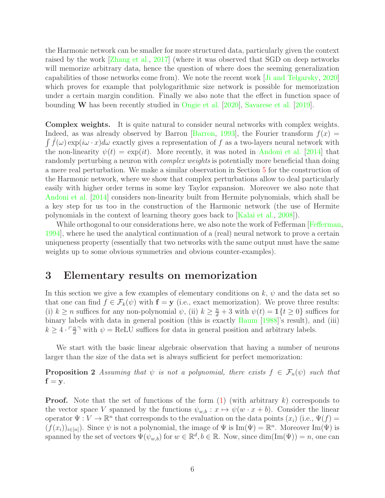the Harmonic network can be smaller for more structured data, particularly given the context raised by the work [\[Zhang et al.,](#page-24-2) [2017\]](#page-24-2) (where it was observed that SGD on deep networks will memorize arbitrary data, hence the question of where does the seeming generalization capabilities of those networks come from). We note the recent work [\[Ji and Telgarsky](#page-23-13), [2020\]](#page-23-13) which proves for example that polylogarithmic size network is possible for memorization under a certain margin condition. Finally we also note that the effect in function space of bounding W has been recently studied in [Ongie et al.](#page-24-10) [\[2020\]](#page-24-10), [Savarese et al.](#page-24-11) [\[2019](#page-24-11)].

Complex weights. It is quite natural to consider neural networks with complex weights. Indeed, as was already observed by Barron [\[Barron](#page-23-14), [1993\]](#page-23-14), the Fourier transform  $f(x) =$  $\int \hat{f}(\omega) \exp(i\omega \cdot x) d\omega$  exactly gives a representation of f as a two-layers neural network with the non-linearity  $\psi(t) = \exp(it)$ . More recently, it was noted in [Andoni et al.](#page-22-3) [\[2014\]](#page-22-3) that randomly perturbing a neuron with *complex weights* is potentially more beneficial than doing a mere real perturbation. We make a similar observation in Section [5](#page-11-0) for the construction of the Harmonic network, where we show that complex perturbations allow to deal particularly easily with higher order terms in some key Taylor expansion. Moreover we also note that [Andoni et al.](#page-22-3) [\[2014](#page-22-3)] considers non-linearity built from Hermite polynomials, which shall be a key step for us too in the construction of the Harmonic network (the use of Hermite polynomials in the context of learning theory goes back to [\[Kalai et al.](#page-24-12), [2008\]](#page-24-12)).

While orthogonal to our considerations here, we also note the work of Fefferman [\[Fefferman,](#page-23-15) [1994\]](#page-23-15), where he used the analytical continuation of a (real) neural network to prove a certain uniqueness property (essentially that two networks with the same output must have the same weights up to some obvious symmetries and obvious counter-examples).

### <span id="page-5-1"></span>3 Elementary results on memorization

In this section we give a few examples of elementary conditions on k,  $\psi$  and the data set so that one can find  $f \in \mathcal{F}_k(\psi)$  with  $\mathbf{f} = \mathbf{y}$  (i.e., exact memorization). We prove three results: (i)  $k \ge n$  suffices for any non-polynomial  $\psi$ , (ii)  $k \ge \frac{n}{d} + 3$  with  $\psi(t) = 1$  { $t \ge 0$ } suffices for binary labels with data in general position (this is exactly [Baum](#page-23-1) [\[1988\]](#page-23-1)'s result), and (iii)  $k \geq 4 \cdot \lceil \frac{n}{d} \rceil$  $\frac{n}{d}$ <sup>n</sup> with  $\psi = \text{ReLU}$  suffices for data in general position and arbitrary labels.

<span id="page-5-0"></span>We start with the basic linear algebraic observation that having a number of neurons larger than the size of the data set is always sufficient for perfect memorization:

**Proposition 2** Assuming that  $\psi$  is not a polynomial, there exists  $f \in \mathcal{F}_n(\psi)$  such that  $f = y$ .

**Proof.** Note that the set of functions of the form  $(1)$  (with arbitrary k) corresponds to the vector space V spanned by the functions  $\psi_{w,b}: x \mapsto \psi(w \cdot x + b)$ . Consider the linear operator  $\Psi: V \to \mathbb{R}^n$  that corresponds to the evaluation on the data points  $(x_i)$  (i.e.,  $\Psi(f)$ )  $(f(x_i))_{i\in[n]}$ . Since  $\psi$  is not a polynomial, the image of  $\Psi$  is  $\text{Im}(\Psi) = \mathbb{R}^n$ . Moreover  $\text{Im}(\Psi)$  is spanned by the set of vectors  $\Psi(\psi_{w,b})$  for  $w \in \mathbb{R}^d, b \in \mathbb{R}$ . Now, since  $\dim(\text{Im}(\Psi)) = n$ , one can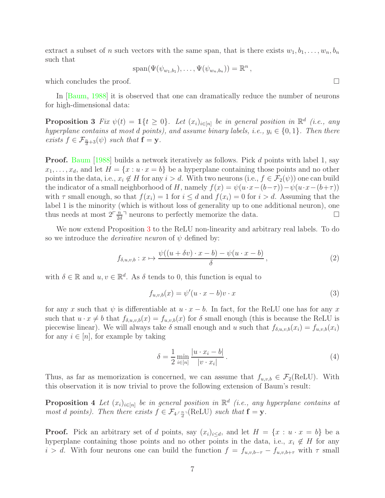extract a subset of n such vectors with the same span, that is there exists  $w_1, b_1, \ldots, w_n, b_n$ such that

$$
\mathrm{span}(\Psi(\psi_{w_1,b_1}),\ldots,\Psi(\psi_{w_n,b_n}))=\mathbb{R}^n,
$$

which concludes the proof.  $\Box$ 

<span id="page-6-0"></span>In [\[Baum](#page-23-1), [1988\]](#page-23-1) it is observed that one can dramatically reduce the number of neurons for high-dimensional data:

**Proposition 3** Fix  $\psi(t) = 1 \{ t \geq 0 \}$ . Let  $(x_i)_{i \in [n]}$  be in general position in  $\mathbb{R}^d$  (i.e., any hyperplane contains at most d points), and assume binary labels, i.e.,  $y_i \in \{0, 1\}$ . Then there exists  $f \in \mathcal{F}_{\frac{n}{d}+3}(\psi)$  such that  $\mathbf{f} = \mathbf{y}$ .

**Proof.** [Baum](#page-23-1) [\[1988\]](#page-23-1) builds a network iteratively as follows. Pick d points with label 1, say  $x_1, \ldots, x_d$ , and let  $H = \{x : u \cdot x = b\}$  be a hyperplane containing those points and no other points in the data, i.e.,  $x_i \notin H$  for any  $i > d$ . With two neurons (i.e.,  $f \in \mathcal{F}_2(\psi)$ ) one can build the indicator of a small neighborhood of H, namely  $f(x) = \psi(u \cdot x - (b - \tau)) - \psi(u \cdot x - (b + \tau))$ with  $\tau$  small enough, so that  $f(x_i) = 1$  for  $i \leq d$  and  $f(x_i) = 0$  for  $i > d$ . Assuming that the label 1 is the minority (which is without loss of generality up to one additional neuron), one thus needs at most  $2\frac{n}{2}$  $\frac{n}{2d}$  neurons to perfectly memorize the data.

We now extend Proposition [3](#page-6-0) to the ReLU non-linearity and arbitrary real labels. To do so we introduce the *derivative neuron* of  $\psi$  defined by:

$$
f_{\delta,u,v,b}: x \mapsto \frac{\psi((u+\delta v)\cdot x - b) - \psi(u \cdot x - b)}{\delta}, \qquad (2)
$$

with  $\delta \in \mathbb{R}$  and  $u, v \in \mathbb{R}^d$ . As  $\delta$  tends to 0, this function is equal to

<span id="page-6-3"></span><span id="page-6-2"></span>
$$
f_{u,v,b}(x) = \psi'(u \cdot x - b)v \cdot x \tag{3}
$$

for any x such that  $\psi$  is differentiable at  $u \cdot x - b$ . In fact, for the ReLU one has for any x such that  $u \cdot x \neq b$  that  $f_{\delta,u,v,b}(x) = f_{u,v,b}(x)$  for  $\delta$  small enough (this is because the ReLU is piecewise linear). We will always take  $\delta$  small enough and u such that  $f_{\delta,u,v,b}(x_i) = f_{u,v,b}(x_i)$ for any  $i \in [n]$ , for example by taking

<span id="page-6-4"></span>
$$
\delta = \frac{1}{2} \min_{i \in [n]} \frac{|u \cdot x_i - b|}{|v \cdot x_i|}.
$$
\n(4)

<span id="page-6-1"></span>Thus, as far as memorization is concerned, we can assume that  $f_{u,v,b} \in \mathcal{F}_2(\text{ReLU})$ . With this observation it is now trivial to prove the following extension of Baum's result:

**Proposition 4** Let  $(x_i)_{i \in [n]}$  be in general position in  $\mathbb{R}^d$  (i.e., any hyperplane contains at most d points). Then there exists  $f \in \mathcal{F}_{4 \cdot \frac{n}{d}}(ReLU)$  such that  $\mathbf{f} = \mathbf{y}$ .

**Proof.** Pick an arbitrary set of d points, say  $(x_i)_{i \leq d}$ , and let  $H = \{x : u \cdot x = b\}$  be a hyperplane containing those points and no other points in the data, i.e.,  $x_i \notin H$  for any  $i > d$ . With four neurons one can build the function  $f = f_{u,v,b-\tau} - f_{u,v,b+\tau}$  with  $\tau$  small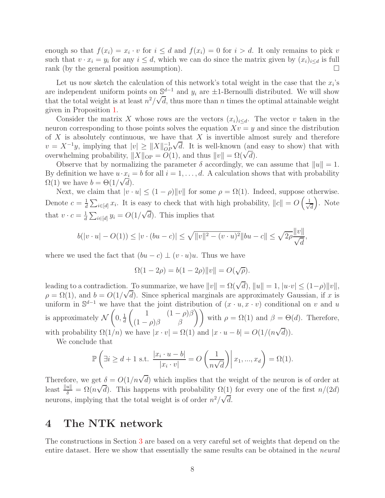enough so that  $f(x_i) = x_i \cdot v$  for  $i \leq d$  and  $f(x_i) = 0$  for  $i > d$ . It only remains to pick v such that  $v \cdot x_i = y_i$  for any  $i \leq d$ , which we can do since the matrix given by  $(x_i)_{i \leq d}$  is full rank (by the general position assumption).  $\Box$ 

Let us now sketch the calculation of this network's total weight in the case that the  $x_i$ 's are independent uniform points on  $\mathbb{S}^{d-1}$  and  $y_i$  are  $\pm 1$ -Bernoulli distributed. We will show that the total weight is at least  $n^2/\sqrt{d}$ , thus more than *n* times the optimal attainable weight given in Proposition [1.](#page-3-0)

Consider the matrix X whose rows are the vectors  $(x_i)_{i\leq d}$ . The vector v taken in the neuron corresponding to those points solves the equation  $Xv = y$  and since the distribution of  $X$  is absolutely continuous, we have that  $X$  is invertible almost surely and therefore  $v = X^{-1}y$ , implying that  $|v| \ge ||X||_{OP}^{-1}$  $\sqrt{d}$ . It is well-known (and easy to show) that with overwhelming probability,  $||X||_{\text{OP}} = O(1)$ , and thus  $||v|| = \Omega(\sqrt{d})$ .

Observe that by normalizing the parameter  $\delta$  accordingly, we can assume that  $||u|| = 1$ . By definition we have  $u \cdot x_i = b$  for all  $i = 1, \ldots, d$ . A calculation shows that with probability  $\Omega(1)$  we have  $b = \Theta(1/\sqrt{d}).$ 

Next, we claim that  $|v \cdot u| \le (1 - \rho) ||v||$  for some  $\rho = \Omega(1)$ . Indeed, suppose otherwise. Denote  $c = \frac{1}{d}$  $\frac{1}{d} \sum_{i \in [d]} x_i$ . It is easy to check that with high probability,  $||c|| = O\left(\frac{1}{\sqrt{2\pi}}\right)$ d . Note that  $v \cdot c = \frac{1}{d}$  $\frac{1}{d} \sum_{i \in [d]} y_i = O(1/\sqrt{d}).$  This implies that

$$
b(|v \cdot u| - O(1)) \le |v \cdot (bu - c)| \le \sqrt{||v||^2 - (v \cdot u)^2} ||bu - c|| \le \sqrt{2\rho} \frac{||v||}{\sqrt{d}},
$$

where we used the fact that  $(bu - c) \perp (v \cdot u)u$ . Thus we have

$$
\Omega(1 - 2\rho) = b(1 - 2\rho) ||v|| = O(\sqrt{\rho}).
$$

leading to a contradiction. To summarize, we have  $||v|| = \Omega(\sqrt{d}), ||u|| = 1, |u \cdot v| \le (1 - \rho)||v||$ ,  $\rho = \Omega(1)$ , and  $b = O(1/\sqrt{d})$ . Since spherical marginals are approximately Gaussian, if x is uniform in  $\mathbb{S}^{d-1}$  we have that the joint distribution of  $(x \cdot u, x \cdot v)$  conditional on v and u is approximately  $\mathcal N$  $\sqrt{ }$  $0, \frac{1}{d}$ d  $\begin{pmatrix} 1 & (1 - \rho)\beta \\ (1 - \rho)\beta & \beta \end{pmatrix}$  with  $\rho = \Omega(1)$  and  $\beta = \Theta(d)$ . Therefore, with probability  $\Omega(1/n)$  we have  $|x \cdot v| = \Omega(1)$  and  $|x \cdot u - b| = O(1/(n\sqrt{d}))$ .

We conclude that

$$
\mathbb{P}\left(\exists i \ge d+1 \text{ s.t. } \frac{|x_i \cdot u - b|}{|x_i \cdot v|} = O\left(\frac{1}{n\sqrt{d}}\right) | x_1, ..., x_d\right) = \Omega(1).
$$

Therefore, we get  $\delta = O(1/n\sqrt{d})$  which implies that the weight of the neuron is of order at least  $\frac{||u||}{\delta} = \Omega(n\sqrt{d})$ . This happens with probability  $\Omega(1)$  for every one of the first  $n/(2d)$ neurons, implying that the total weight is of order  $n^2/\sqrt{d}$ .

# <span id="page-7-0"></span>4 The NTK network

The constructions in Section [3](#page-5-1) are based on a very careful set of weights that depend on the entire dataset. Here we show that essentially the same results can be obtained in the neural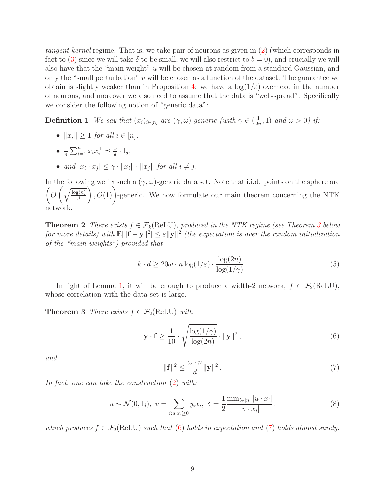tangent kernel regime. That is, we take pair of neurons as given in [\(2\)](#page-6-2) (which corresponds in fact to [\(3\)](#page-6-3) since we will take  $\delta$  to be small, we will also restrict to  $b = 0$ ), and crucially we will also have that the "main weight" u will be chosen at random from a standard Gaussian, and only the "small perturbation"  $v$  will be chosen as a function of the dataset. The guarantee we obtain is slightly weaker than in Proposition [4:](#page-6-1) we have a  $\log(1/\varepsilon)$  overhead in the number of neurons, and moreover we also need to assume that the data is "well-spread". Specifically we consider the following notion of "generic data":

**Definition 1** We say that  $(x_i)_{i \in [n]}$  are  $(\gamma, \omega)$ -generic (with  $\gamma \in (\frac{1}{2i})$  $(\frac{1}{2n},1)$  and  $\omega > 0$ ) if:

- $||x_i|| > 1$  for all  $i \in [n]$ ,
- $\bullet$   $\frac{1}{1}$  $\frac{1}{n} \sum_{i=1}^n x_i x_i^{\top} \preceq \frac{\omega}{d}$  $\frac{\omega}{d} \cdot \mathrm{I}_d,$
- and  $|x_i \cdot x_j| \leq \gamma \cdot ||x_i|| \cdot ||x_j||$  for all  $i \neq j$ .

In the following we fix such a  $(\gamma,\omega)$ -generic data set. Note that i.i.d. points on the sphere are  $\sqrt{ }$  $O\left(\sqrt{\frac{\log(n)}{d}}\right)$ d  $(0, 0)(1)$ -generic. We now formulate our main theorem concerning the NTK network.

<span id="page-8-0"></span>**Theorem 2** There exists  $f \in \mathcal{F}_k(\text{ReLU})$ , produced in the NTK regime (see Theorem [3](#page-8-1) below for more details) with  $\mathbb{E}[\|\mathbf{f} - \mathbf{y}\|^2] \le \varepsilon \|\mathbf{y}\|^2$  (the expectation is over the random initialization of the "main weights") provided that

<span id="page-8-5"></span>
$$
k \cdot d \ge 20\omega \cdot n \log(1/\varepsilon) \cdot \frac{\log(2n)}{\log(1/\gamma)}.
$$
\n
$$
(5)
$$

<span id="page-8-1"></span>In light of Lemma [1,](#page-2-0) it will be enough to produce a width-2 network,  $f \in \mathcal{F}_2(\text{ReLU})$ , whose correlation with the data set is large.

**Theorem 3** There exists  $f \in \mathcal{F}_2(\text{ReLU})$  with

<span id="page-8-2"></span>
$$
\mathbf{y} \cdot \mathbf{f} \ge \frac{1}{10} \cdot \sqrt{\frac{\log(1/\gamma)}{\log(2n)}} \cdot ||\mathbf{y}||^2 ,\tag{6}
$$

<span id="page-8-3"></span>and

<span id="page-8-4"></span>
$$
\|\mathbf{f}\|^2 \le \frac{\omega \cdot n}{d} \|\mathbf{y}\|^2. \tag{7}
$$

In fact, one can take the construction [\(2\)](#page-6-2) with:

$$
u \sim \mathcal{N}(0, \mathcal{I}_d), \ v = \sum_{i:u \cdot x_i \ge 0} y_i x_i, \ \delta = \frac{1}{2} \frac{\min_{i \in [n]} |u \cdot x_i|}{|v \cdot x_i|}. \tag{8}
$$

which produces  $f \in \mathcal{F}_2(\text{ReLU})$  such that [\(6\)](#page-8-2) holds in expectation and [\(7\)](#page-8-3) holds almost surely.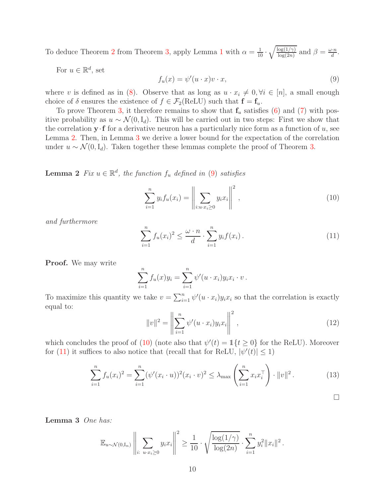To deduce Theorem [2](#page-8-0) from Theorem [3,](#page-8-1) apply Lemma [1](#page-2-0) with  $\alpha = \frac{1}{10}$ .  $\sqrt{\log(1/\gamma)}$  $\frac{\log(1/\gamma)}{\log(2n)}$  and  $\beta = \frac{\omega \cdot n}{d}$ .

<span id="page-9-2"></span>For  $u \in \mathbb{R}^d$ , set

$$
f_u(x) = \psi'(u \cdot x)v \cdot x,\tag{9}
$$

where v is defined as in [\(8\)](#page-8-4). Observe that as long as  $u \cdot x_i \neq 0, \forall i \in [n]$ , a small enough choice of  $\delta$  ensures the existence of  $f \in \mathcal{F}_2(\text{ReLU})$  such that  $\mathbf{f} = \mathbf{f}_u$ .

To prove Theorem [3,](#page-8-1) it therefore remains to show that  $f_u$  satisfies [\(6\)](#page-8-2) and [\(7\)](#page-8-3) with positive probability as  $u \sim \mathcal{N}(0, I_d)$ . This will be carried out in two steps: First we show that the correlation  $y \cdot f$  for a derivative neuron has a particularly nice form as a function of u, see Lemma [2.](#page-9-0) Then, in Lemma [3](#page-9-1) we derive a lower bound for the expectation of the correlation under  $u \sim \mathcal{N}(0, I_d)$ . Taken together these lemmas complete the proof of Theorem [3.](#page-8-1)

<span id="page-9-0"></span>**Lemma 2** Fix  $u \in \mathbb{R}^d$ , the function  $f_u$  defined in [\(9\)](#page-9-2) satisfies

<span id="page-9-3"></span>
$$
\sum_{i=1}^{n} y_i f_u(x_i) = \left\| \sum_{i:u \cdot x_i \ge 0} y_i x_i \right\|^2,
$$
\n(10)

and furthermore

<span id="page-9-4"></span>
$$
\sum_{i=1}^{n} f_u(x_i)^2 \le \frac{\omega \cdot n}{d} \cdot \sum_{i=1}^{n} y_i f(x_i).
$$
 (11)

Proof. We may write

$$
\sum_{i=1}^n f_u(x)y_i = \sum_{i=1}^n \psi'(u \cdot x_i)y_i x_i \cdot v.
$$

<span id="page-9-5"></span>To maximize this quantity we take  $v = \sum_{i=1}^{n} \psi'(u \cdot x_i) y_i x_i$  so that the correlation is exactly equal to:

<span id="page-9-6"></span>
$$
||v||^{2} = \left\| \sum_{i=1}^{n} \psi'(u \cdot x_{i}) y_{i} x_{i} \right\|^{2}, \qquad (12)
$$

which concludes the proof of [\(10\)](#page-9-3) (note also that  $\psi'(t) = \mathbb{1}\{t \geq 0\}$  for the ReLU). Moreover for [\(11\)](#page-9-4) it suffices to also notice that (recall that for ReLU,  $|\psi'(t)| \leq 1$ )

$$
\sum_{i=1}^{n} f_u(x_i)^2 = \sum_{i=1}^{n} (\psi'(x_i \cdot u))^2 (x_i \cdot v)^2 \le \lambda_{\max} \left( \sum_{i=1}^{n} x_i x_i^\top \right) \cdot ||v||^2.
$$
 (13)

<span id="page-9-1"></span>Lemma 3 One has:

$$
\mathbb{E}_{u \sim \mathcal{N}(0, I_n)} \left\| \sum_{i: \ u \cdot x_i \ge 0} y_i x_i \right\|^2 \ge \frac{1}{10} \cdot \sqrt{\frac{\log(1/\gamma)}{\log(2n)}} \cdot \sum_{i=1}^n y_i^2 \|x_i\|^2.
$$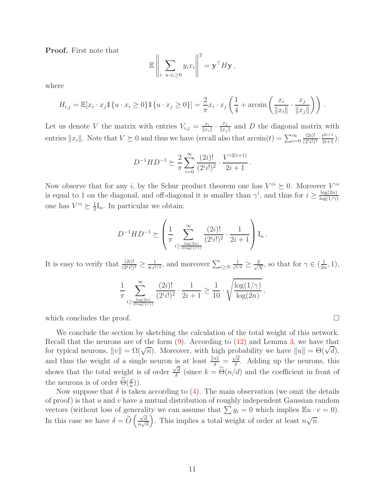Proof. First note that

$$
\mathbb{E}\left\|\sum_{i:\;u\cdot x_i\geq 0}y_ix_i\right\|^2=\mathbf{y}^\top H\mathbf{y},\,
$$

where

$$
H_{i,j} = \mathbb{E}[x_i \cdot x_j \mathbb{1}\{u \cdot x_i \ge 0\} \mathbb{1}\{u \cdot x_j \ge 0\}] = \frac{2}{\pi}x_i \cdot x_j \left(\frac{1}{4} + \arcsin\left(\frac{x_i}{\|x_i\|} \cdot \frac{x_j}{\|x_j\|}\right)\right).
$$

Let us denote V the matrix with entries  $V_{i,j} = \frac{x_i}{\|x_i\|}$  $\frac{x_i}{\|x_i\|} \cdot \frac{x_j}{\|x_j\|}$  $\frac{x_j}{\|x_j\|}$  and D the diagonal matrix with entries  $||x_i||$ . Note that  $V \succeq 0$  and thus we have (recall also that  $arcsin(t) = \sum_{i=0}^{\infty}$  $(2i)!$  $\frac{(2i)!}{(2^i i!)^2} \cdot \frac{t^{2i+1}}{2i+1}$ :

$$
D^{-1}HD^{-1} \succeq \frac{2}{\pi} \sum_{i=0}^{\infty} \frac{(2i)!}{(2^i i!)^2} \cdot \frac{V^{\circ 2(i+1)}}{2i+1}.
$$

Now observe that for any *i*, by the Schur product theorem one has  $V^{\circ i} \succeq 0$ . Moreover  $V^{\circ i}$ is equal to 1 on the diagonal, and off-diagonal it is smaller than  $\gamma^i$ , and thus for  $i \geq \frac{\log(2n)}{\log(1/\gamma)}$  $\log(1/\gamma)$ one has  $V^{\circ i} \succeq \frac{1}{2}$  $\frac{1}{2}I_n$ . In particular we obtain:

$$
D^{-1}HD^{-1} \succeq \left(\frac{1}{\pi} \sum_{\substack{i \ge \frac{\log(2n)}{2 \log(1/\gamma)}}}^{\infty} \frac{(2i)!}{(2^i i!)^2} \cdot \frac{1}{2i+1}\right) I_n.
$$

It is easy to verify that  $\frac{(2i)!}{(2^i i!)^2} \geq \frac{1}{8 \cdot i^3}$  $\frac{1}{8 \cdot i^{3/2}}$ , and moreover  $\sum_{i \geq N}$ 1  $\frac{1}{i^{3/2}} \geq \frac{2}{\sqrt{l}}$  $\frac{2}{N}$ , so that for  $\gamma \in (\frac{1}{2n})$  $\frac{1}{2n}, 1),$ 

$$
\frac{1}{\pi} \sum_{i \ge \frac{\log(2n)}{2 \log(1/\gamma)}} \frac{(2i)!}{(2^i i!)^2} \cdot \frac{1}{2i+1} \ge \frac{1}{10} \cdot \sqrt{\frac{\log(1/\gamma)}{\log(2n)}}
$$

,

which concludes the proof.  $\Box$ 

We conclude the section by sketching the calculation of the total weight of this network. Recall that the neurons are of the form  $(9)$ . According to  $(12)$  and Lemma [3,](#page-9-1) we have that for typical neurons,  $||v|| = \Omega(\sqrt{n})$ . Moreover, with high probability we have  $||u|| = \Theta(\sqrt{d})$ , and thus the weight of a single neuron is at least  $\frac{\|u\|}{\delta} = \frac{\sqrt{d}}{\delta}$  $\frac{d}{\delta}$ . Adding up the neurons, this shows that the total weight is of order  $\frac{\sqrt{d}}{\delta}$  $\frac{d}{\delta}$  (since  $k = \Theta(n/d)$  and the coefficient in front of the neurons is of order  $\Theta(\frac{d}{n})$ ).

Now suppose that  $\delta$  is taken according to [\(4\)](#page-6-4). The main observation (we omit the details of proof) is that  $u$  and  $v$  have a mutual distribution of roughly independent Gaussian random vectors (without loss of generality we can assume that  $\sum y_i = 0$  which implies  $\mathbb{E}u \cdot v = 0$ ). In this case we have  $\delta = \widetilde{O}\left(\frac{\sqrt{d}}{n\sqrt{d}}\right)$  $\frac{n}{n\sqrt{n}}$ ). This implies a total weight of order at least  $n\sqrt{n}$ .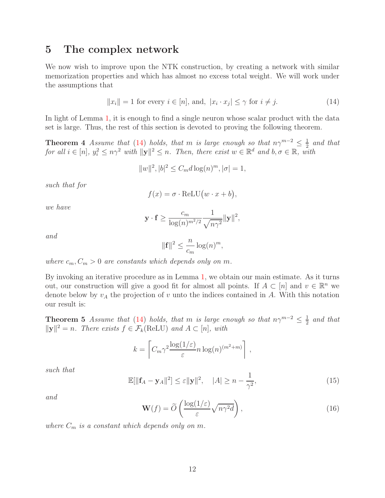### <span id="page-11-0"></span>5 The complex network

We now wish to improve upon the NTK construction, by creating a network with similar memorization properties and which has almost no excess total weight. We will work under the assumptions that

<span id="page-11-1"></span>
$$
||x_i|| = 1 \text{ for every } i \in [n], \text{ and, } |x_i \cdot x_j| \le \gamma \text{ for } i \ne j. \tag{14}
$$

In light of Lemma [1,](#page-2-0) it is enough to find a single neuron whose scalar product with the data set is large. Thus, the rest of this section is devoted to proving the following theorem.

**Theorem 4** Assume that [\(14\)](#page-11-1) holds, that m is large enough so that  $n\gamma^{m-2} \leq \frac{1}{2}$  $rac{1}{2}$  and that for all  $i \in [n]$ ,  $y_i^2 \leq n\gamma^2$  with  $\|\mathbf{y}\|^2 \leq n$ . Then, there exist  $w \in \mathbb{R}^d$  and  $b, \sigma \in \mathbb{R}$ , with

$$
||w||^2, |b|^2 \le C_m d \log(n)^m, |\sigma| = 1,
$$

such that for

<span id="page-11-3"></span>
$$
f(x) = \sigma \cdot \text{ReLU}(w \cdot x + b),
$$

we have

$$
\mathbf{y} \cdot \mathbf{f} \ge \frac{c_m}{\log(n)^{m^2/2}} \frac{1}{\sqrt{n\gamma^2}} ||\mathbf{y}||^2,
$$

and

$$
\|\mathbf{f}\|^2 \le \frac{n}{c_m} \log(n)^m,
$$

where  $c_m$ ,  $C_m > 0$  are constants which depends only on m.

By invoking an iterative procedure as in Lemma [1,](#page-2-0) we obtain our main estimate. As it turns out, our construction will give a good fit for almost all points. If  $A \subset [n]$  and  $v \in \mathbb{R}^n$  we denote below by  $v_A$  the projection of v unto the indices contained in A. With this notation our result is:

<span id="page-11-2"></span>**Theorem 5** Assume that [\(14\)](#page-11-1) holds, that m is large enough so that  $n\gamma^{m-2} \leq \frac{1}{2}$  $rac{1}{2}$  and that  $||\mathbf{y}||^2 = n$ . There exists  $f \in \mathcal{F}_k(\text{ReLU})$  and  $A \subset [n]$ , with

$$
k = \left[ C_m \gamma^2 \frac{\log(1/\varepsilon)}{\varepsilon} n \log(n)^{(m^2 + m)} \right],
$$

<span id="page-11-4"></span>such that

$$
\mathbb{E}[\|\mathbf{f}_A - \mathbf{y}_A\|^2] \le \varepsilon \|\mathbf{y}\|^2, \quad |A| \ge n - \frac{1}{\gamma^2},\tag{15}
$$

and

$$
\mathbf{W}(f) = \widetilde{O}\left(\frac{\log(1/\varepsilon)}{\varepsilon}\sqrt{n\gamma^2d}\right),\tag{16}
$$

where  $C_m$  is a constant which depends only on m.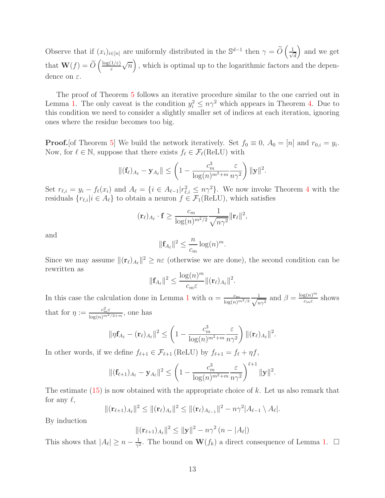Observe that if  $(x_i)_{i\in[n]}$  are uniformly distributed in the  $\mathbb{S}^{d-1}$  then  $\gamma = \widetilde{O}\left(\frac{1}{\sqrt{d}}\right)$ d and we get that  $\mathbf{W}(f) = \widetilde{O}\left(\frac{\log(1/\varepsilon)}{\varepsilon}\right)$ ε  $\sqrt{n}$ , which is optimal up to the logarithmic factors and the dependence on  $\varepsilon$ .

The proof of Theorem [5](#page-11-2) follows an iterative procedure similar to the one carried out in Lemma [1.](#page-2-0) The only caveat is the condition  $y_i^2 \leq n\gamma^2$  which appears in Theorem [4.](#page-11-3) Due to this condition we need to consider a slightly smaller set of indices at each iteration, ignoring ones where the residue becomes too big.

**Proof.**[of Theorem [5\]](#page-11-2) We build the network iteratively. Set  $f_0 \equiv 0$ ,  $A_0 = [n]$  and  $r_{0,i} = y_i$ . Now, for  $\ell \in \mathbb{N}$ , suppose that there exists  $f_{\ell} \in \mathcal{F}_{\ell}(\operatorname{ReLU})$  with

$$
\|(\mathbf{f}_{\ell})_{A_{\ell}} - \mathbf{y}_{A_{\ell}}\| \leq \left(1 - \frac{c_m^3}{\log(n)^{m^2 + m}} \frac{\varepsilon}{n\gamma^2}\right) \|\mathbf{y}\|^2.
$$

Set  $r_{\ell,i} = y_i - f_{\ell}(x_i)$  and  $A_{\ell} = \{i \in A_{\ell-1} | r_{\ell,i}^2 \leq n\gamma^2\}$ . We now invoke Theorem [4](#page-11-3) with the residuals  $\{r_{\ell,i}|i \in A_{\ell}\}\)$  to obtain a neuron  $f \in \mathcal{F}_1(\text{ReLU})$ , which satisfies

$$
(\mathbf{r}_{\ell})_{A_{\ell}} \cdot \mathbf{f} \ge \frac{c_m}{\log(n)^{m^2/2}} \frac{1}{\sqrt{n\gamma^2}} ||\mathbf{r}_{\ell}||^2,
$$

and

$$
\|\mathbf{f}_{A_{\ell}}\|^2 \leq \frac{n}{c_m} \log(n)^m.
$$

Since we may assume  $\|(\mathbf{r}_{\ell})_{A_{\ell}}\|^2 \geq n\varepsilon$  (otherwise we are done), the second condition can be rewritten as

$$
\|\mathbf{f}_{A_{\ell}}\|^2 \leq \frac{\log(n)^m}{c_m \varepsilon} \|(\mathbf{r}_{\ell})_{A_{\ell}}\|^2.
$$

In this case the calculation done in Lemma [1](#page-2-0) with  $\alpha = \frac{c_m}{\log(n)^{m^2/2}} \frac{1}{\sqrt{n}}$  $\frac{1}{n\gamma^2}$  and  $\beta = \frac{\log(n)^m}{c_m \varepsilon}$  $rac{g(n)^{n}}{c_m \varepsilon}$  shows that for  $\eta := \frac{c_m^2 \varepsilon}{\log(n)^{m^2/2+m}}$ , one has

$$
\|\eta \mathbf{f}_{A_{\ell}} - (\mathbf{r}_{\ell})_{A_{\ell}}\|^2 \leq \left(1 - \frac{c_m^3}{\log(n)^{m^2+m}} \frac{\varepsilon}{n \gamma^2}\right) \|(\mathbf{r}_{\ell})_{A_{\ell}}\|^2.
$$

In other words, if we define  $f_{\ell+1} \in \mathcal{F}_{\ell+1}$  (ReLU) by  $f_{\ell+1} = f_{\ell} + \eta f$ ,

$$
\|(\mathbf{f}_{\ell+1})_{A_{\ell}} - \mathbf{y}_{A_{\ell}}\|^2 \leq \left(1 - \frac{c_m^3}{\log(n)^{m^2+m}} \frac{\varepsilon}{n\gamma^2}\right)^{\ell+1} \|\mathbf{y}\|^2.
$$

The estimate  $(15)$  is now obtained with the appropriate choice of k. Let us also remark that for any  $\ell$ ,

$$
\|(\mathbf{r}_{\ell+1})_{A_{\ell}}\|^2 \leq \|(\mathbf{r}_{\ell})_{A_{\ell}}\|^2 \leq \|(\mathbf{r}_{\ell})_{A_{\ell-1}}\|^2 - n\gamma^2|A_{\ell-1} \setminus A_{\ell}|.
$$

By induction

$$
\|(\mathbf{r}_{\ell+1})_{A_{\ell}}\|^2 \leq \|\mathbf{y}\|^2 - n\gamma^2 (n - |A_{\ell}|)
$$

This shows that  $|A_{\ell}| \geq n - \frac{1}{\gamma^2}$  $\frac{1}{\gamma^2}$ . The bound on  $\mathbf{W}(f_k)$  a direct consequence of Lemma [1.](#page-2-0)  $\Box$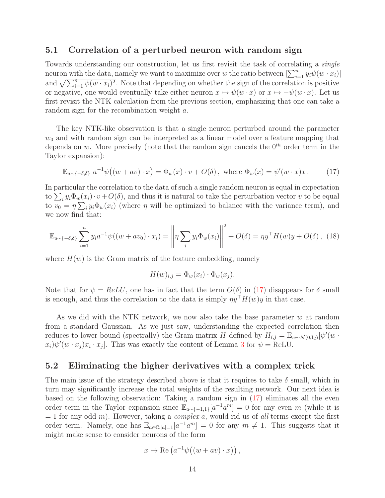#### 5.1 Correlation of a perturbed neuron with random sign

Towards understanding our construction, let us first revisit the task of correlating a single neuron with the data, namely we want to maximize over w the ratio between  $\left|\sum_{i=1}^{n} y_i \psi(w \cdot x_i)\right|$ and  $\sqrt{\sum_{i=1}^n \psi(w \cdot x_i)^2}$ . Note that depending on whether the sign of the correlation is positive or negative, one would eventually take either neuron  $x \mapsto \psi(w \cdot x)$  or  $x \mapsto -\psi(w \cdot x)$ . Let us first revisit the NTK calculation from the previous section, emphasizing that one can take a random sign for the recombination weight a.

The key NTK-like observation is that a single neuron perturbed around the parameter  $w<sub>0</sub>$  and with random sign can be interpreted as a linear model over a feature mapping that depends on w. More precisely (note that the random sign cancels the  $0^{th}$  order term in the Taylor expansion):

<span id="page-13-0"></span>
$$
\mathbb{E}_{a \sim \{-\delta,\delta\}} a^{-1} \psi((w + av) \cdot x) = \Phi_w(x) \cdot v + O(\delta), \text{ where } \Phi_w(x) = \psi'(w \cdot x)x. \quad (17)
$$

In particular the correlation to the data of such a single random neuron is equal in expectation to  $\sum_i y_i \Phi_w(x_i) \cdot v + O(\delta)$ , and thus it is natural to take the perturbation vector v to be equal to  $v_0 = \eta \sum_i y_i \Phi_w(x_i)$  (where  $\eta$  will be optimized to balance with the variance term), and we now find that:

<span id="page-13-1"></span>
$$
\mathbb{E}_{a \sim \{-\delta,\delta\}} \sum_{i=1}^{n} y_i a^{-1} \psi((w + av_0) \cdot x_i) = \left\| \eta \sum_{i} y_i \Phi_w(x_i) \right\|^2 + O(\delta) = \eta y^\top H(w) y + O(\delta), \tag{18}
$$

where  $H(w)$  is the Gram matrix of the feature embedding, namely

$$
H(w)_{i,j} = \Phi_w(x_i) \cdot \Phi_w(x_j).
$$

Note that for  $\psi = ReLU$ , one has in fact that the term  $O(\delta)$  in [\(17\)](#page-13-0) disappears for  $\delta$  small is enough, and thus the correlation to the data is simply  $\eta y^{\dagger}H(w)y$  in that case.

As we did with the NTK network, we now also take the base parameter w at random from a standard Gaussian. As we just saw, understanding the expected correlation then reduces to lower bound (spectrally) the Gram matrix H defined by  $H_{i,j} = \mathbb{E}_{w \sim \mathcal{N}(0,I_d)}[\psi'(w \cdot \mathcal{N}(0))$  $(x_i)\psi'(w \cdot x_j)x_i \cdot x_j$ . This was exactly the content of Lemma [3](#page-9-1) for  $\psi = \text{ReLU}$ .

#### 5.2 Eliminating the higher derivatives with a complex trick

The main issue of the strategy described above is that it requires to take  $\delta$  small, which in turn may significantly increase the total weights of the resulting network. Our next idea is based on the following observation: Taking a random sign in [\(17\)](#page-13-0) eliminates all the even order term in the Taylor expansion since  $\mathbb{E}_{a \sim \{-1,1\}}[a^{-1}a^m] = 0$  for any even m (while it is  $= 1$  for any odd m). However, taking a *complex a*, would rid us of all terms except the first order term. Namely, one has  $\mathbb{E}_{a \in \mathbb{C}:|a|=1}[a^{-1}a^m] = 0$  for any  $m \neq 1$ . This suggests that it might make sense to consider neurons of the form

$$
x \mapsto \text{Re}\left(a^{-1}\psi\big((w + av)\cdot x\big)\right),\,
$$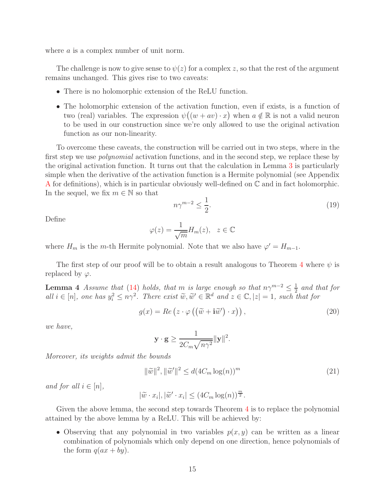where a is a complex number of unit norm.

The challenge is now to give sense to  $\psi(z)$  for a complex z, so that the rest of the argument remains unchanged. This gives rise to two caveats:

- There is no holomorphic extension of the ReLU function.
- The holomorphic extension of the activation function, even if exists, is a function of two (real) variables. The expression  $\psi((w + av) \cdot x)$  when  $a \notin \mathbb{R}$  is not a valid neuron to be used in our construction since we're only allowed to use the original activation function as our non-linearity.

To overcome these caveats, the construction will be carried out in two steps, where in the first step we use *polynomial* activation functions, and in the second step, we replace these by the original activation function. It turns out that the calculation in Lemma [3](#page-9-1) is particularly simple when the derivative of the activation function is a Hermite polynomial (see Appendix [A](#page-25-0) for definitions), which is in particular obviously well-defined on  $\mathbb C$  and in fact holomorphic. In the sequel, we fix  $m \in \mathbb{N}$  so that

<span id="page-14-2"></span>
$$
n\gamma^{m-2} \le \frac{1}{2}.\tag{19}
$$

Define

$$
\varphi(z) = \frac{1}{\sqrt{m}} H_m(z), \quad z \in \mathbb{C}
$$

where  $H_m$  is the m-th Hermite polynomial. Note that we also have  $\varphi' = H_{m-1}$ .

<span id="page-14-0"></span>The first step of our proof will be to obtain a result analogous to Theorem [4](#page-11-3) where  $\psi$  is replaced by  $\varphi$ .

**Lemma 4** Assume that [\(14\)](#page-11-1) holds, that m is large enough so that  $n\gamma^{m-2} \leq \frac{1}{2}$  $rac{1}{2}$  and that for all  $i \in [n]$ , one has  $y_i^2 \leq n\gamma^2$ . There exist  $\widetilde{w}, \widetilde{w}' \in \mathbb{R}^d$  and  $z \in \mathbb{C}, |z| = 1$ , such that for

$$
g(x) = Re\left(z \cdot \varphi\left(\left(\tilde{w} + \mathbf{i}\tilde{w}'\right) \cdot x\right)\right),\tag{20}
$$

we have,

<span id="page-14-3"></span><span id="page-14-1"></span>
$$
\mathbf{y} \cdot \mathbf{g} \ge \frac{1}{2C_m \sqrt{n \gamma^2}} ||\mathbf{y}||^2.
$$

Moreover, its weights admit the bounds

$$
\|\widetilde{w}\|^2, \|\widetilde{w}'\|^2 \le d(4C_m \log(n))^m
$$
\n(21)

and for all  $i \in [n],$ 

$$
|\widetilde{w} \cdot x_i|, |\widetilde{w}' \cdot x_i| \le (4C_m \log(n))^{\frac{m}{2}}.
$$

Given the above lemma, the second step towards Theorem [4](#page-11-3) is to replace the polynomial attained by the above lemma by a ReLU. This will be achieved by:

• Observing that any polynomial in two variables  $p(x, y)$  can be written as a linear combination of polynomials which only depend on one direction, hence polynomials of the form  $q(ax + by)$ .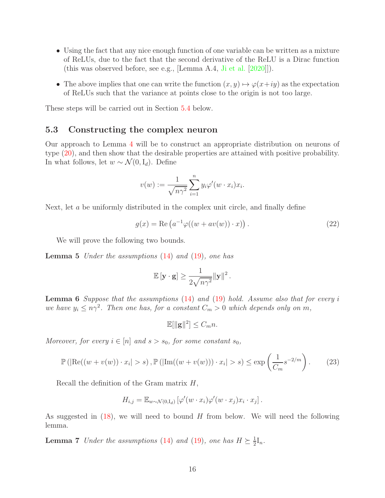- Using the fact that any nice enough function of one variable can be written as a mixture of ReLUs, due to the fact that the second derivative of the ReLU is a Dirac function (this was observed before, see e.g., [Lemma A.4, [Ji et al.](#page-23-16) [\[2020](#page-23-16)]]).
- The above implies that one can write the function  $(x, y) \mapsto \varphi(x+iy)$  as the expectation of ReLUs such that the variance at points close to the origin is not too large.

These steps will be carried out in Section [5.4](#page-18-0) below.

#### 5.3 Constructing the complex neuron

Our approach to Lemma [4](#page-14-0) will be to construct an appropriate distribution on neurons of type [\(20\)](#page-14-1), and then show that the desirable properties are attained with positive probability. In what follows, let  $w \sim \mathcal{N}(0, I_d)$ . Define

$$
v(w) := \frac{1}{\sqrt{n\gamma^2}} \sum_{i=1}^n y_i \varphi'(w \cdot x_i) x_i.
$$

Next, let a be uniformly distributed in the complex unit circle, and finally define

$$
g(x) = \text{Re}\left(a^{-1}\varphi((w + av(w)) \cdot x)\right). \tag{22}
$$

We will prove the following two bounds.

**Lemma 5** Under the assumptions  $(14)$  and  $(19)$ , one has

<span id="page-15-0"></span>
$$
\mathbb{E}[\mathbf{y} \cdot \mathbf{g}] \ge \frac{1}{2\sqrt{n\gamma^2}} ||\mathbf{y}||^2.
$$

<span id="page-15-2"></span>**Lemma 6** Suppose that the assumptions  $(14)$  and  $(19)$  hold. Assume also that for every i we have  $y_i \leq n\gamma^2$ . Then one has, for a constant  $C_m > 0$  which depends only on m,

<span id="page-15-3"></span>
$$
\mathbb{E}[\|\mathbf{g}\|^2] \leq C_m n.
$$

Moreover, for every  $i \in [n]$  and  $s > s_0$ , for some constant  $s_0$ ,

$$
\mathbb{P}\left(\left|\text{Re}((w+v(w))\cdot x_i|>s),\mathbb{P}\left(\left|\text{Im}((w+v(w)))\cdot x_i\right|\geq s\right)\leq \exp\left(\frac{1}{C_m}s^{-2/m}\right)\right.\right.\tag{23}
$$

Recall the definition of the Gram matrix  $H$ ,

$$
H_{i,j} = \mathbb{E}_{w \sim \mathcal{N}(0,\mathrm{I}_d)} \left[ \varphi'(w \cdot x_i) \varphi'(w \cdot x_j) x_i \cdot x_j \right].
$$

<span id="page-15-1"></span>As suggested in  $(18)$ , we will need to bound H from below. We will need the following lemma.

**Lemma 7** Under the assumptions [\(14\)](#page-11-1) and [\(19\)](#page-14-2), one has  $H \succeq \frac{1}{2}$  $\frac{1}{2}I_n$ .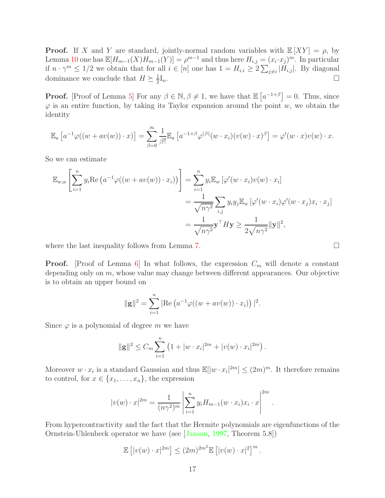**Proof.** If X and Y are standard, jointly-normal random variables with  $\mathbb{E}[XY] = \rho$ , by Lemma [10](#page-25-1) one has  $\mathbb{E}[H_{m-1}(X)H_{m-1}(Y)] = \rho^{m-1}$  and thus here  $H_{i,j} = (x_i \cdot x_j)^m$ . In particular if  $n \cdot \gamma^m \leq 1/2$  we obtain that for all  $i \in [n]$  one has  $1 = H_{i,i} \geq 2 \sum_{j \neq i} |H_{i,j}|$ . By diagonal dominance we conclude that  $H \succeq \frac{1}{2}$ 2  $I_n$ .

**Proof.** [Proof of Lemma [5\]](#page-15-0) For any  $\beta \in \mathbb{N}, \beta \neq 1$ , we have that  $\mathbb{E}[a^{-1+\beta}] = 0$ . Thus, since  $\varphi$  is an entire function, by taking its Taylor expansion around the point w, we obtain the identity

$$
\mathbb{E}_a\left[a^{-1}\varphi((w+av(w))\cdot x)\right] = \sum_{\beta=0}^{\infty} \frac{1}{\beta!} \mathbb{E}_a\left[a^{-1+\beta}\varphi^{(\beta)}(w\cdot x_i)(v(w)\cdot x)^\beta\right] = \varphi'(w\cdot x)v(w)\cdot x.
$$

So we can estimate

$$
\mathbb{E}_{w,a}\left[\sum_{i=1}^{n} y_i \text{Re}\left(a^{-1}\varphi((w+av(w))\cdot x_i)\right)\right] = \sum_{i=1}^{n} y_i \mathbb{E}_w\left[\varphi'(w\cdot x_i)v(w)\cdot x_i\right]
$$
  
= 
$$
\frac{1}{\sqrt{n\gamma^2}}\sum_{i,j} y_i y_j \mathbb{E}_w\left[\varphi'(w\cdot x_i)\varphi'(w\cdot x_j)x_i\cdot x_j\right]
$$
  
= 
$$
\frac{1}{\sqrt{n\gamma^2}}\mathbf{y}^\top H \mathbf{y} \ge \frac{1}{2\sqrt{n\gamma^2}}||\mathbf{y}||^2,
$$

where the last inequality follows from Lemma [7.](#page-15-1)  $\Box$ 

**Proof.** [Proof of Lemma [6\]](#page-15-2) In what follows, the expression  $C_m$  will denote a constant depending only on  $m$ , whose value may change between different appearances. Our objective is to obtain an upper bound on

$$
\|\mathbf{g}\|^2 = \sum_{i=1}^n |\text{Re} (a^{-1} \varphi((w + av(w)) \cdot x_i))|^2.
$$

Since  $\varphi$  is a polynomial of degree m we have

$$
\|\mathbf{g}\|^2 \leq C_m \sum_{i=1}^n \left(1 + |w \cdot x_i|^{2m} + |v(w) \cdot x_i|^{2m}\right).
$$

Moreover  $w \cdot x_i$  is a standard Gaussian and thus  $\mathbb{E}[|w \cdot x_i|^{2m}] \leq (2m)^m$ . It therefore remains to control, for  $x \in \{x_1, \ldots, x_n\}$ , the expression

$$
|v(w) \cdot x|^{2m} = \frac{1}{(n\gamma^2)^m} \left| \sum_{i=1}^n y_i H_{m-1}(w \cdot x_i) x_i \cdot x \right|^{2m}.
$$

From hypercontractivity and the fact that the Hermite polynomials are eigenfunctions of the Ornstein-Uhlenbeck operator we have (see [\[Janson](#page-23-17), [1997](#page-23-17), Theorem 5.8])

$$
\mathbb{E}\left[|v(w)\cdot x|^{2m}\right] \le (2m)^{2m^2} \mathbb{E}\left[|v(w)\cdot x|^2\right]^m.
$$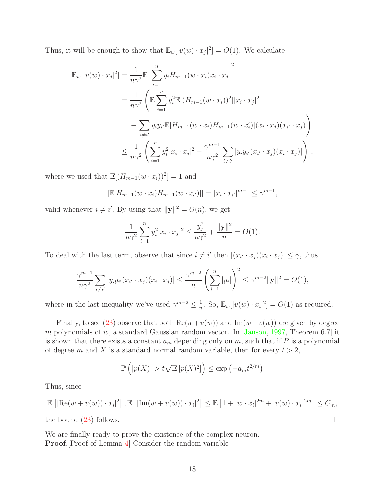Thus, it will be enough to show that  $\mathbb{E}_w[|v(w) \cdot x_j|^2] = O(1)$ . We calculate

$$
\mathbb{E}_{w}[|v(w) \cdot x_{j}|^{2}] = \frac{1}{n\gamma^{2}} \mathbb{E} \left| \sum_{i=1}^{n} y_{i} H_{m-1}(w \cdot x_{i}) x_{i} \cdot x_{j} \right|^{2}
$$
  
\n
$$
= \frac{1}{n\gamma^{2}} \left( \mathbb{E} \sum_{i=1}^{n} y_{i}^{2} \mathbb{E}[(H_{m-1}(w \cdot x_{i}))^{2}] |x_{i} \cdot x_{j}|^{2} + \sum_{i \neq i'} y_{i} y_{i} \mathbb{E}[H_{m-1}(w \cdot x_{i}) H_{m-1}(w \cdot x'_{i})](x_{i} \cdot x_{j})(x_{i'} \cdot x_{j}) \right)
$$
  
\n
$$
\leq \frac{1}{n\gamma^{2}} \left( \sum_{i=1}^{n} y_{i}^{2} |x_{i} \cdot x_{j}|^{2} + \frac{\gamma^{m-1}}{n\gamma^{2}} \sum_{i \neq i'} |y_{i} y_{i'}(x_{i'} \cdot x_{j})(x_{i} \cdot x_{j})| \right),
$$

where we used that  $\mathbb{E}[(H_{m-1}(w \cdot x_i))^2] = 1$  and

$$
|\mathbb{E}[H_{m-1}(w \cdot x_i) H_{m-1}(w \cdot x_{i'})]| = |x_i \cdot x_{i'}|^{m-1} \le \gamma^{m-1},
$$

valid whenever  $i \neq i'$ . By using that  $\|\mathbf{y}\|^2 = O(n)$ , we get

$$
\frac{1}{n\gamma^2} \sum_{i=1}^n y_i^2 |x_i \cdot x_j|^2 \le \frac{y_j^2}{n\gamma^2} + \frac{\|\mathbf{y}\|^2}{n} = O(1).
$$

To deal with the last term, observe that since  $i \neq i'$  then  $|(x_{i'} \cdot x_j)(x_i \cdot x_j)| \leq \gamma$ , thus

$$
\frac{\gamma^{m-1}}{n\gamma^2} \sum_{i \neq i'} |y_i y_{i'} (x_{i'} \cdot x_j)(x_i \cdot x_j)| \leq \frac{\gamma^{m-2}}{n} \left( \sum_{i=1}^n |y_i| \right)^2 \leq \gamma^{m-2} ||\mathbf{y}||^2 = O(1),
$$

where in the last inequality we've used  $\gamma^{m-2} \leq \frac{1}{n}$  $\frac{1}{n}$ . So,  $\mathbb{E}_w[|v(w) \cdot x_i|^2] = O(1)$  as required.

Finally, to see [\(23\)](#page-15-3) observe that both  $\text{Re}(w+v(w))$  and  $\text{Im}(w+v(w))$  are given by degree m polynomials of w, a standard Gaussian random vector. In  $\vert$ Janson, [1997,](#page-23-17) Theorem 6.7 it is shown that there exists a constant  $a_m$  depending only on m, such that if P is a polynomial of degree m and X is a standard normal random variable, then for every  $t > 2$ ,

$$
\mathbb{P}\left(|p(X)| > t\sqrt{\mathbb{E}\left[p(X)^2\right]}\right) \le \exp\left(-a_m t^{2/m}\right)
$$

Thus, since

$$
\mathbb{E}\left[|\text{Re}(w+v(w))\cdot x_i|^2\right],\mathbb{E}\left[|\text{Im}(w+v(w))\cdot x_i|^2\right] \leq \mathbb{E}\left[1+|w\cdot x_i|^{2m}+|v(w)\cdot x_i|^{2m}\right] \leq C_m,
$$

the bound  $(23)$  follows.

We are finally ready to prove the existence of the complex neuron. Proof.[Proof of Lemma [4\]](#page-14-0) Consider the random variable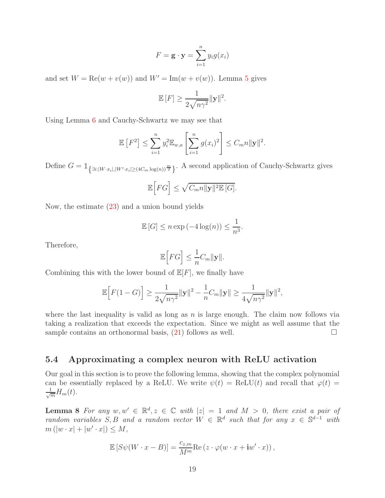$$
F = \mathbf{g} \cdot \mathbf{y} = \sum_{i=1}^{n} y_i g(x_i)
$$

and set  $W = \text{Re}(w + v(w))$  and  $W' = \text{Im}(w + v(w))$ . Lemma [5](#page-15-0) gives

$$
\mathbb{E}[F] \ge \frac{1}{2\sqrt{n\gamma^2}} \|\mathbf{y}\|^2.
$$

Using Lemma [6](#page-15-2) and Cauchy-Schwartz we may see that

$$
\mathbb{E}\left[F^2\right] \le \sum_{i=1}^n y_i^2 \mathbb{E}_{w,a} \left[\sum_{i=1}^n g(x_i)^2\right] \le C_m n \|y\|^2.
$$

Define  $G = \mathbb{1}_{\left\{\exists i: |W \cdot x_i|, |W' \cdot x_i| \geq (4C_m \log(n))^{\frac{m}{2}}\right\}}$ . A second application of Cauchy-Schwartz gives

$$
\mathbb{E}\Big[FG\Big] \leq \sqrt{C_m n \|\mathbf{y}\|^2 \mathbb{E}\left[G\right]}.
$$

Now, the estimate [\(23\)](#page-15-3) and a union bound yields

$$
\mathbb{E}[G] \le n \exp(-4 \log(n)) \le \frac{1}{n^3}.
$$

Therefore,

$$
\mathbb{E}\Big[FG\Big] \le \frac{1}{n}C_m \|\mathbf{y}\|.
$$

Combining this with the lower bound of  $\mathbb{E}[F]$ , we finally have

$$
\mathbb{E}\Big[F(1-G)\Big] \ge \frac{1}{2\sqrt{n\gamma^2}} \|\mathbf{y}\|^2 - \frac{1}{n} C_m \|\mathbf{y}\| \ge \frac{1}{4\sqrt{n\gamma^2}} \|\mathbf{y}\|^2,
$$

where the last inequality is valid as long as  $n$  is large enough. The claim now follows via taking a realization that exceeds the expectation. Since we might as well assume that the sample contains an orthonormal basis,  $(21)$  follows as well.

#### <span id="page-18-0"></span>5.4 Approximating a complex neuron with ReLU activation

Our goal in this section is to prove the following lemma, showing that the complex polynomial can be essentially replaced by a ReLU. We write  $\psi(t) = \text{ReLU}(t)$  and recall that  $\varphi(t) =$  $\frac{1}{\sqrt{m}}H_m(t)$ .

<span id="page-18-1"></span>**Lemma 8** For any  $w, w' \in \mathbb{R}^d, z \in \mathbb{C}$  with  $|z| = 1$  and  $M > 0$ , there exist a pair of random variables  $S, B$  and a random vector  $W \in \mathbb{R}^d$  such that for any  $x \in \mathbb{S}^{d-1}$  with  $m(|w \cdot x| + |w' \cdot x|) \leq M,$ 

$$
\mathbb{E}\left[S\psi(W\cdot x-B)\right] = \frac{c_{z,m}}{M^m}\text{Re}\left(z\cdot\varphi(w\cdot x+\mathbf{i}w'\cdot x)\right),\,
$$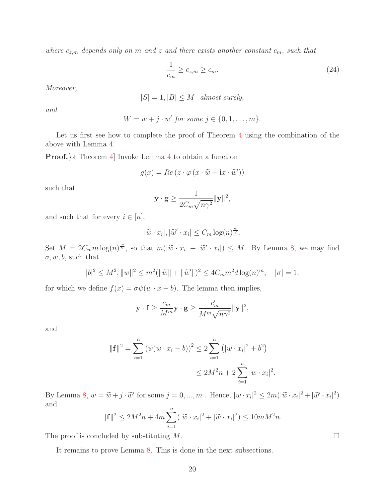where  $c_{z,m}$  depends only on m and z and there exists another constant  $c_m$ , such that

<span id="page-19-0"></span>
$$
\frac{1}{c_m} \ge c_{z,m} \ge c_m. \tag{24}
$$

Moreover,

$$
|S| = 1, |B| \le M \quad almost \; surely,
$$

and

$$
W = w + j \cdot w' \text{ for some } j \in \{0, 1, \dots, m\}.
$$

Let us first see how to complete the proof of Theorem [4](#page-11-3) using the combination of the above with Lemma [4.](#page-14-0)

Proof.[of Theorem [4\]](#page-11-3) Invoke Lemma [4](#page-14-0) to obtain a function

$$
g(x) = Re (z \cdot \varphi (x \cdot \widetilde{w} + i x \cdot \widetilde{w}'))
$$

such that

$$
\mathbf{y} \cdot \mathbf{g} \ge \frac{1}{2C_m \sqrt{n \gamma^2}} ||\mathbf{y}||^2,
$$

and such that for every  $i \in [n]$ ,

$$
|\widetilde{w} \cdot x_i|, |\widetilde{w}' \cdot x_i| \leq C_m \log(n)^{\frac{m}{2}}.
$$

Set  $M = 2C_m m \log(n)^{\frac{m}{2}}$ , so that  $m(|\tilde{w} \cdot x_i| + |\tilde{w}' \cdot x_i|) \leq M$ . By Lemma [8,](#page-18-1) we may find  $\sigma, w, b$ , such that

$$
|b|^2 \le M^2, \|w\|^2 \le m^2(\|\widetilde{w}\| + \|\widetilde{w}'\|)^2 \le 4C_m m^2 d \log(n)^m, \quad |\sigma| = 1,
$$

for which we define  $f(x) = \sigma \psi(w \cdot x - b)$ . The lemma then implies,

$$
\mathbf{y} \cdot \mathbf{f} \ge \frac{c_m}{M^m} \mathbf{y} \cdot \mathbf{g} \ge \frac{c'_m}{M^m \sqrt{n \gamma^2}} ||\mathbf{y}||^2,
$$

and

$$
\|\mathbf{f}\|^2 = \sum_{i=1}^n (\psi(w \cdot x_i - b))^2 \le 2 \sum_{i=1}^n (|w \cdot x_i|^2 + b^2)
$$
  

$$
\le 2M^2 n + 2 \sum_{i=1}^n |w \cdot x_i|^2.
$$

By Lemma [8,](#page-18-1)  $w = \tilde{w} + j \cdot \tilde{w}'$  for some  $j = 0, ..., m$ . Hence,  $|w \cdot x_i|^2 \leq 2m(|\tilde{w} \cdot x_i|^2 + |\tilde{w}' \cdot x_i|^2)$ and

$$
\|\mathbf{f}\|^2 \le 2M^2n + 4m\sum_{i=1}^n (|\widetilde{w} \cdot x_i|^2 + |\widetilde{w} \cdot x_i|^2) \le 10mM^2n.
$$

The proof is concluded by substituting  $M$ .

It remains to prove Lemma [8.](#page-18-1) This is done in the next subsections.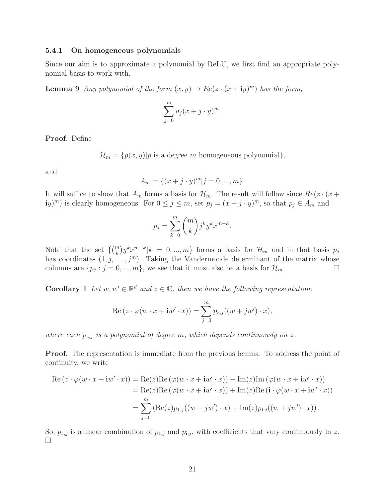#### 5.4.1 On homogeneous polynomials

Since our aim is to approximate a polynomial by ReLU, we first find an appropriate polynomial basis to work with.

**Lemma 9** Any polynomial of the form  $(x, y) \rightarrow Re(z \cdot (x + iy)^m)$  has the form,

$$
\sum_{j=0}^{m} a_j (x+j \cdot y)^m.
$$

Proof. Define

 $\mathcal{H}_m = \{p(x, y)|p \text{ is a degree } m \text{ homogeneous polynomial}\},\$ 

and

$$
A_m = \{(x+j \cdot y)^m | j = 0, ..., m\}.
$$

It will suffice to show that  $A_m$  forms a basis for  $\mathcal{H}_m$ . The result will follow since  $Re(z \cdot (x +$ iy)<sup>*m*</sup>) is clearly homogeneous. For  $0 \le j \le m$ , set  $p_j = (x + j \cdot y)^m$ , so that  $p_j \in A_m$  and

<span id="page-20-0"></span>
$$
p_j = \sum_{k=0}^m \binom{m}{k} j^k y^k x^{m-k}.
$$

Note that the set  $\{ {m \choose k} y^k x^{m-k} | k = 0, ..., m \}$  forms a basis for  $\mathcal{H}_m$  and in that basis  $p_j$ has coordinates  $(1, j, \ldots, j<sup>m</sup>)$ . Taking the Vandermonde determinant of the matrix whose columns are  $\{p_j : j = 0, ..., m\}$ , we see that it must also be a basis for  $\mathcal{H}_m$ .

**Corollary** 1 Let  $w, w' \in \mathbb{R}^d$  and  $z \in \mathbb{C}$ , then we have the following representation:

$$
\operatorname{Re}\left(z \cdot \varphi(w \cdot x + \mathbf{i}w' \cdot x)\right) = \sum_{j=0}^{m} p_{z,j}((w + jw') \cdot x),
$$

where each  $p_{z,j}$  is a polynomial of degree m, which depends continuously on z.

**Proof.** The representation is immediate from the previous lemma. To address the point of continuity, we write

Re 
$$
(z \cdot \varphi(w \cdot x + \mathbf{i}w' \cdot x))
$$
 = Re $(z)$ Re  $(\varphi(w \cdot x + \mathbf{i}w' \cdot x))$  - Im $(z)$ Im  $(\varphi(w \cdot x + \mathbf{i}w' \cdot x))$   
 = Re $(z)$ Re  $(\varphi(w \cdot x + \mathbf{i}w' \cdot x))$  + Im $(z)$ Re  $(\mathbf{i} \cdot \varphi(w \cdot x + \mathbf{i}w' \cdot x))$   
 =  $\sum_{j=0}^{m} (\text{Re}(z)p_{1,j}((w + jw') \cdot x) + \text{Im}(z)p_{1,j}((w + jw') \cdot x))$ .

So,  $p_{z,j}$  is a linear combination of  $p_{1,j}$  and  $p_{i,j}$ , with coefficients that vary continuously in z.  $\Box$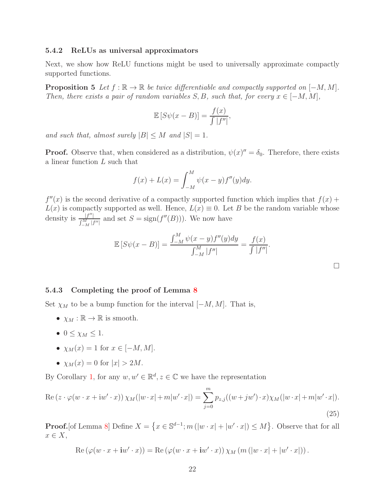#### 5.4.2 ReLUs as universal approximators

Next, we show how ReLU functions might be used to universally approximate compactly supported functions.

**Proposition 5** Let  $f : \mathbb{R} \to \mathbb{R}$  be twice differentiable and compactly supported on  $[-M, M]$ . Then, there exists a pair of random variables  $S, B$ , such that, for every  $x \in [-M, M]$ ,

<span id="page-21-0"></span>
$$
\mathbb{E}\left[S\psi(x-B)\right] = \frac{f(x)}{\int |f''|},
$$

and such that, almost surely  $|B| \leq M$  and  $|S| = 1$ .

**Proof.** Observe that, when considered as a distribution,  $\psi(x)'' = \delta_0$ . Therefore, there exists a linear function L such that

$$
f(x) + L(x) = \int_{-M}^{M} \psi(x - y) f''(y) dy.
$$

 $f''(x)$  is the second derivative of a compactly supported function which implies that  $f(x)$  +  $L(x)$  is compactly supported as well. Hence,  $L(x) \equiv 0$ . Let B be the random variable whose density is  $\frac{|f''|}{f^M}$  $\frac{|J''|}{\int_{-M}^M |f''|}$  and set  $S = \text{sign}(f''(B)))$ . We now have

$$
\mathbb{E}\left[S\psi(x-B)\right] = \frac{\int_{-M}^{M} \psi(x-y) f''(y) dy}{\int_{-M}^{M} |f''|} = \frac{f(x)}{\int |f''|}.
$$

<span id="page-21-1"></span>

#### 5.4.3 Completing the proof of Lemma [8](#page-18-1)

Set  $\chi_M$  to be a bump function for the interval  $[-M, M]$ . That is,

- $\chi_M : \mathbb{R} \to \mathbb{R}$  is smooth.
- $\bullet\ 0 \leq \chi_M \leq 1.$
- $\chi_M(x) = 1$  for  $x \in [-M, M]$ .
- $\chi_M(x) = 0$  for  $|x| > 2M$ .

By Corollary [1,](#page-20-0) for any  $w, w' \in \mathbb{R}^d, z \in \mathbb{C}$  we have the representation

$$
\operatorname{Re}\left(z \cdot \varphi(w \cdot x + \mathrm{i}w' \cdot x)\right) \chi_M(|w \cdot x| + m|w' \cdot x|) = \sum_{j=0}^{m} p_{z,j}((w+jw') \cdot x) \chi_M(|w \cdot x| + m|w' \cdot x|).
$$
\n(25)

**Proof.** [of Lemma [8\]](#page-18-1) Define  $X = \{x \in \mathbb{S}^{d-1} : m(|w \cdot x| + |w' \cdot x|) \leq M\}$ . Observe that for all  $x \in X$ ,

Re 
$$
(\varphi(w \cdot x + \mathbf{i}w' \cdot x))
$$
 = Re  $(\varphi(w \cdot x + \mathbf{i}w' \cdot x)) \chi_M (m (|w \cdot x| + |w' \cdot x|))$ .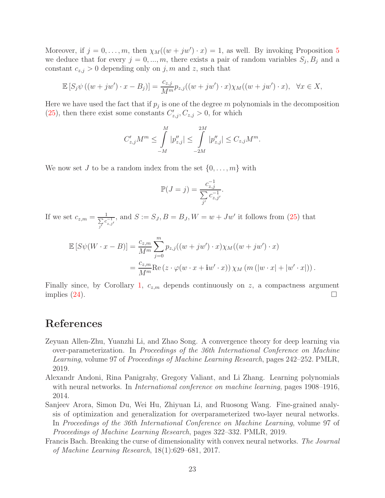Moreover, if  $j = 0, \ldots, m$ , then  $\chi_M((w + jw') \cdot x) = 1$ , as well. By invoking Proposition [5](#page-21-0) we deduce that for every  $j = 0, ..., m$ , there exists a pair of random variables  $S_j$ ,  $B_j$  and a constant  $c_{z,j} > 0$  depending only on j, m and z, such that

$$
\mathbb{E}\left[S_j\psi\left((w+jw')\cdot x-B_j\right)\right] = \frac{c_{z,j}}{M^m}p_{z,j}\left((w+jw')\cdot x\right)\chi_M\left((w+jw')\cdot x\right), \quad \forall x \in X,
$$

Here we have used the fact that if  $p_j$  is one of the degree m polynomials in the decomposition  $(25)$ , then there exist some constants  $C'_{z,j}, C_{z,j} > 0$ , for which

$$
C'_{z,j}M^m \leq \int\limits_{-M}^{M} |p''_{z,j}| \leq \int\limits_{-2M}^{2M} |p''_{z,j}| \leq C_{z,j}M^m.
$$

We now set J to be a random index from the set  $\{0, \ldots, m\}$  with

$$
\mathbb{P}(J=j) = \frac{c_{z,j}^{-1}}{\sum_{j'} c_{z,j'}^{-1}}.
$$

If we set  $c_{z,m} = \frac{1}{\sum c}$  $\frac{1}{\sum_{j'} c_{z,j'}^{-1}}$ , and  $S := S_J, B = B_J, W = w + Jw'$  it follows from [\(25\)](#page-21-1) that

$$
\mathbb{E}\left[S\psi(W \cdot x - B)\right] = \frac{c_{z,m}}{M^m} \sum_{j=0}^{m} p_{z,j}((w + jw') \cdot x)\chi_M((w + jw') \cdot x)
$$
  
=  $\frac{c_{z,m}}{M^m} \text{Re}\left(z \cdot \varphi(w \cdot x + \mathbf{i}w' \cdot x)\right)\chi_M\left(m\left(|w \cdot x| + |w' \cdot x|\right)\right).$ 

Finally since, by Corollary [1,](#page-20-0)  $c_{z,m}$  depends continuously on z, a compactness argument implies  $(24)$ .

# References

- <span id="page-22-1"></span>Zeyuan Allen-Zhu, Yuanzhi Li, and Zhao Song. A convergence theory for deep learning via over-parameterization. In Proceedings of the 36th International Conference on Machine Learning, volume 97 of Proceedings of Machine Learning Research, pages 242–252. PMLR, 2019.
- <span id="page-22-3"></span>Alexandr Andoni, Rina Panigrahy, Gregory Valiant, and Li Zhang. Learning polynomials with neural networks. In *International conference on machine learning*, pages 1908–1916, 2014.
- <span id="page-22-2"></span>Sanjeev Arora, Simon Du, Wei Hu, Zhiyuan Li, and Ruosong Wang. Fine-grained analysis of optimization and generalization for overparameterized two-layer neural networks. In Proceedings of the 36th International Conference on Machine Learning, volume 97 of Proceedings of Machine Learning Research, pages 322–332. PMLR, 2019.
- <span id="page-22-0"></span>Francis Bach. Breaking the curse of dimensionality with convex neural networks. The Journal of Machine Learning Research, 18(1):629–681, 2017.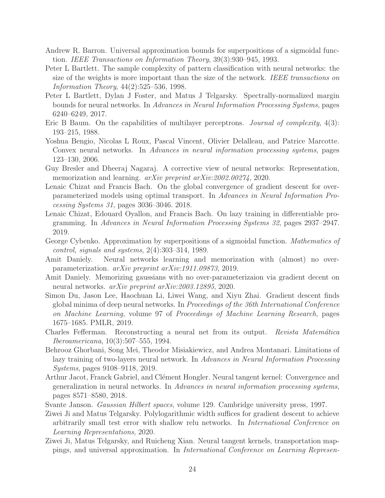- <span id="page-23-14"></span>Andrew R. Barron. Universal approximation bounds for superpositions of a sigmoidal function. IEEE Transactions on Information Theory, 39(3):930–945, 1993.
- <span id="page-23-3"></span>Peter L Bartlett. The sample complexity of pattern classification with neural networks: the size of the weights is more important than the size of the network. IEEE transactions on Information Theory, 44(2):525–536, 1998.
- <span id="page-23-12"></span>Peter L Bartlett, Dylan J Foster, and Matus J Telgarsky. Spectrally-normalized margin bounds for neural networks. In Advances in Neural Information Processing Systems, pages 6240–6249, 2017.
- <span id="page-23-1"></span>Eric B Baum. On the capabilities of multilayer perceptrons. *Journal of complexity*, 4(3): 193–215, 1988.
- <span id="page-23-4"></span>Yoshua Bengio, Nicolas L Roux, Pascal Vincent, Olivier Delalleau, and Patrice Marcotte. Convex neural networks. In Advances in neural information processing systems, pages 123–130, 2006.
- <span id="page-23-9"></span>Guy Bresler and Dheeraj Nagaraj. A corrective view of neural networks: Representation, memorization and learning. *arXiv preprint arXiv:2002.00274*, 2020.
- <span id="page-23-8"></span>Lenaic Chizat and Francis Bach. On the global convergence of gradient descent for overparameterized models using optimal transport. In Advances in Neural Information Processing Systems 31, pages 3036–3046. 2018.
- <span id="page-23-6"></span>Lenaic Chizat, Edouard Oyallon, and Francis Bach. On lazy training in differentiable programming. In Advances in Neural Information Processing Systems 32, pages 2937–2947. 2019.
- <span id="page-23-0"></span>George Cybenko. Approximation by superpositions of a sigmoidal function. Mathematics of control, signals and systems, 2(4):303–314, 1989.
- <span id="page-23-10"></span>Amit Daniely. Neural networks learning and memorization with (almost) no overparameterization. arXiv preprint arXiv:1911.09873, 2019.
- <span id="page-23-11"></span>Amit Daniely. Memorizing gaussians with no over-parameterizaion via gradient decent on neural networks. arXiv preprint arXiv:2003.12895, 2020.
- <span id="page-23-5"></span>Simon Du, Jason Lee, Haochuan Li, Liwei Wang, and Xiyu Zhai. Gradient descent finds global minima of deep neural networks. In Proceedings of the 36th International Conference on Machine Learning, volume 97 of Proceedings of Machine Learning Research, pages 1675–1685. PMLR, 2019.
- <span id="page-23-15"></span>Charles Fefferman. Reconstructing a neural net from its output. Revista Matemática Iberoamericana, 10(3):507–555, 1994.
- <span id="page-23-7"></span>Behrooz Ghorbani, Song Mei, Theodor Misiakiewicz, and Andrea Montanari. Limitations of lazy training of two-layers neural network. In Advances in Neural Information Processing Systems, pages 9108–9118, 2019.
- <span id="page-23-2"></span>Arthur Jacot, Franck Gabriel, and Clément Hongler. Neural tangent kernel: Convergence and generalization in neural networks. In Advances in neural information processing systems, pages 8571–8580, 2018.
- <span id="page-23-17"></span>Svante Janson. Gaussian Hilbert spaces, volume 129. Cambridge university press, 1997.
- <span id="page-23-13"></span>Ziwei Ji and Matus Telgarsky. Polylogarithmic width suffices for gradient descent to achieve arbitrarily small test error with shallow relu networks. In International Conference on Learning Representations, 2020.
- <span id="page-23-16"></span>Ziwei Ji, Matus Telgarsky, and Ruicheng Xian. Neural tangent kernels, transportation mappings, and universal approximation. In International Conference on Learning Represen-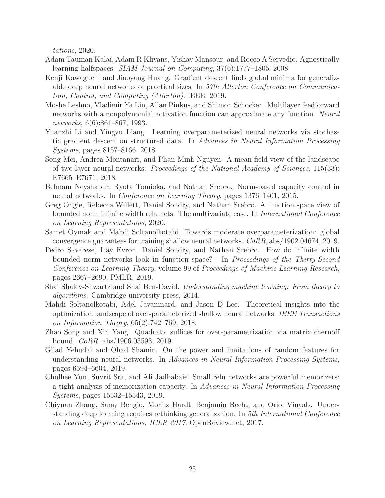tations, 2020.

- <span id="page-24-12"></span>Adam Tauman Kalai, Adam R Klivans, Yishay Mansour, and Rocco A Servedio. Agnostically learning halfspaces. SIAM Journal on Computing, 37(6):1777–1805, 2008.
- <span id="page-24-8"></span>Kenji Kawaguchi and Jiaoyang Huang. Gradient descent finds global minima for generalizable deep neural networks of practical sizes. In 57th Allerton Conference on Communication, Control, and Computing (Allerton). IEEE, 2019.
- <span id="page-24-0"></span>Moshe Leshno, Vladimir Ya Lin, Allan Pinkus, and Shimon Schocken. Multilayer feedforward networks with a nonpolynomial activation function can approximate any function. Neural networks, 6(6):861–867, 1993.
- <span id="page-24-4"></span>Yuanzhi Li and Yingyu Liang. Learning overparameterized neural networks via stochastic gradient descent on structured data. In Advances in Neural Information Processing Systems, pages 8157–8166, 2018.
- <span id="page-24-7"></span>Song Mei, Andrea Montanari, and Phan-Minh Nguyen. A mean field view of the landscape of two-layer neural networks. Proceedings of the National Academy of Sciences, 115(33): E7665–E7671, 2018.
- <span id="page-24-9"></span>Behnam Neyshabur, Ryota Tomioka, and Nathan Srebro. Norm-based capacity control in neural networks. In Conference on Learning Theory, pages 1376–1401, 2015.
- <span id="page-24-10"></span>Greg Ongie, Rebecca Willett, Daniel Soudry, and Nathan Srebro. A function space view of bounded norm infinite width relu nets: The multivariate case. In *International Conference* on Learning Representations, 2020.
- Samet Oymak and Mahdi Soltanolkotabi. Towards moderate overparameterization: global convergence guarantees for training shallow neural networks. CoRR, abs/1902.04674, 2019.
- <span id="page-24-11"></span>Pedro Savarese, Itay Evron, Daniel Soudry, and Nathan Srebro. How do infinite width bounded norm networks look in function space? In Proceedings of the Thirty-Second Conference on Learning Theory, volume 99 of Proceedings of Machine Learning Research, pages 2667–2690. PMLR, 2019.
- <span id="page-24-1"></span>Shai Shalev-Shwartz and Shai Ben-David. Understanding machine learning: From theory to algorithms. Cambridge university press, 2014.
- <span id="page-24-5"></span>Mahdi Soltanolkotabi, Adel Javanmard, and Jason D Lee. Theoretical insights into the optimization landscape of over-parameterized shallow neural networks. IEEE Transactions on Information Theory, 65(2):742–769, 2018.
- Zhao Song and Xin Yang. Quadratic suffices for over-parametrization via matrix chernoff bound. CoRR, abs/1906.03593, 2019.
- <span id="page-24-6"></span>Gilad Yehudai and Ohad Shamir. On the power and limitations of random features for understanding neural networks. In Advances in Neural Information Processing Systems, pages 6594–6604, 2019.
- <span id="page-24-3"></span>Chulhee Yun, Suvrit Sra, and Ali Jadbabaie. Small relu networks are powerful memorizers: a tight analysis of memorization capacity. In Advances in Neural Information Processing Systems, pages 15532–15543, 2019.
- <span id="page-24-2"></span>Chiyuan Zhang, Samy Bengio, Moritz Hardt, Benjamin Recht, and Oriol Vinyals. Understanding deep learning requires rethinking generalization. In 5th International Conference on Learning Representations, ICLR 2017. OpenReview.net, 2017.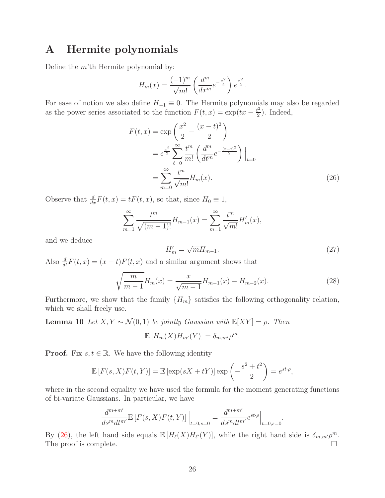# <span id="page-25-0"></span>A Hermite polynomials

Define the  $m$ 'th Hermite polynomial by:

$$
H_m(x) = \frac{(-1)^m}{\sqrt{m!}} \left( \frac{d^m}{dx^m} e^{-\frac{x^2}{2}} \right) e^{\frac{x^2}{2}}.
$$

For ease of notion we also define  $H_{-1} \equiv 0$ . The Hermite polynomials may also be regarded as the power series associated to the function  $F(t, x) = \exp(tx - \frac{t^2}{2})$  $\frac{t^2}{2}$ ). Indeed,

$$
F(t,x) = \exp\left(\frac{x^2}{2} - \frac{(x-t)^2}{2}\right)
$$
  
=  $e^{\frac{x^2}{2}} \sum_{\ell=0}^{\infty} \frac{t^m}{m!} \left(\frac{d^m}{dt^m} e^{-\frac{(x-t)^2}{2}}\right)\Big|_{t=0}$   
=  $\sum_{m=0}^{\infty} \frac{t^m}{\sqrt{m!}} H_m(x).$  (26)

Observe that  $\frac{d}{dx}F(t, x) = tF(t, x)$ , so that, since  $H_0 \equiv 1$ ,

$$
\sum_{m=1}^{\infty} \frac{t^m}{\sqrt{(m-1)!}} H_{m-1}(x) = \sum_{m=1}^{\infty} \frac{t^m}{\sqrt{m!}} H'_m(x),
$$

and we deduce

<span id="page-25-2"></span>
$$
H'_m = \sqrt{m}H_{m-1}.\tag{27}
$$

Also  $\frac{d}{dt}F(t, x) = (x - t)F(t, x)$  and a similar argument shows that

$$
\sqrt{\frac{m}{m-1}}H_m(x) = \frac{x}{\sqrt{m-1}}H_{m-1}(x) - H_{m-2}(x).
$$
\n(28)

Furthermore, we show that the family  ${H_m}$  satisfies the following orthogonality relation, which we shall freely use.

**Lemma 10** Let  $X, Y \sim \mathcal{N}(0, 1)$  be jointly Gaussian with  $\mathbb{E}[XY] = \rho$ . Then

<span id="page-25-1"></span>
$$
\mathbb{E}[H_m(X)H_{m'}(Y)] = \delta_{m,m'}\rho^m.
$$

**Proof.** Fix  $s, t \in \mathbb{R}$ . We have the following identity

$$
\mathbb{E}\left[F(s,X)F(t,Y)\right] = \mathbb{E}\left[\exp(sX+tY)\right]\exp\left(-\frac{s^2+t^2}{2}\right) = e^{st\cdot\rho},
$$

where in the second equality we have used the formula for the moment generating functions of bi-variate Gaussians. In particular, we have

$$
\frac{d^{m+m'}}{ds^m dt^{m'}} \mathbb{E}\left[F(s,X)F(t,Y)\right]\Big|_{t=0,s=0} = \frac{d^{m+m'}}{ds^m dt^{m'}} e^{st \cdot \rho}\Big|_{t=0,s=0}.
$$

By [\(26\)](#page-25-2), the left hand side equals  $\mathbb{E}[H_{\ell}(X)H_{\ell'}(Y)]$ , while the right hand side is  $\delta_{m,m'}\rho^m$ . The proof is complete.  $\Box$